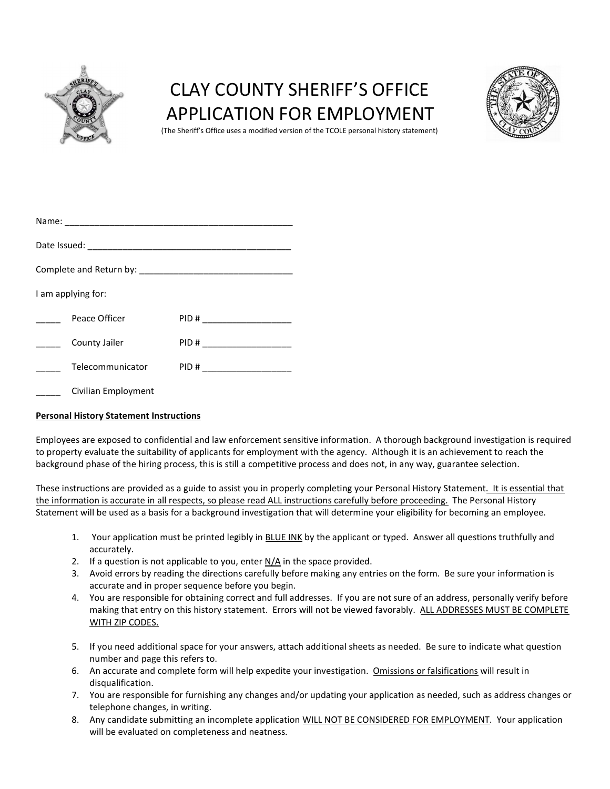

# CLAY COUNTY SHERIFF'S OFFICE APPLICATION FOR EMPLOYMENT



(The Sheriff's Office uses a modified version of the TCOLE personal history statement)

|  | I am applying for:  |                               |  |  |  |  |  |
|--|---------------------|-------------------------------|--|--|--|--|--|
|  | Peace Officer       | PID # ______________________  |  |  |  |  |  |
|  | County Jailer       | PID # _______________________ |  |  |  |  |  |
|  | Telecommunicator    | PID # ______________________  |  |  |  |  |  |
|  | Civilian Employment |                               |  |  |  |  |  |

# Personal History Statement Instructions

Employees are exposed to confidential and law enforcement sensitive information. A thorough background investigation is required to property evaluate the suitability of applicants for employment with the agency. Although it is an achievement to reach the background phase of the hiring process, this is still a competitive process and does not, in any way, guarantee selection.

These instructions are provided as a guide to assist you in properly completing your Personal History Statement. It is essential that the information is accurate in all respects, so please read ALL instructions carefully before proceeding. The Personal History Statement will be used as a basis for a background investigation that will determine your eligibility for becoming an employee.

- 1. Your application must be printed legibly in BLUE INK by the applicant or typed. Answer all questions truthfully and accurately.
- 2. If a question is not applicable to you, enter  $N/A$  in the space provided.
- 3. Avoid errors by reading the directions carefully before making any entries on the form. Be sure your information is accurate and in proper sequence before you begin.
- 4. You are responsible for obtaining correct and full addresses. If you are not sure of an address, personally verify before making that entry on this history statement. Errors will not be viewed favorably. ALL ADDRESSES MUST BE COMPLETE WITH ZIP CODES.
- 5. If you need additional space for your answers, attach additional sheets as needed. Be sure to indicate what question number and page this refers to.
- 6. An accurate and complete form will help expedite your investigation. Omissions or falsifications will result in disqualification.
- 7. You are responsible for furnishing any changes and/or updating your application as needed, such as address changes or telephone changes, in writing.
- 8. Any candidate submitting an incomplete application WILL NOT BE CONSIDERED FOR EMPLOYMENT. Your application will be evaluated on completeness and neatness.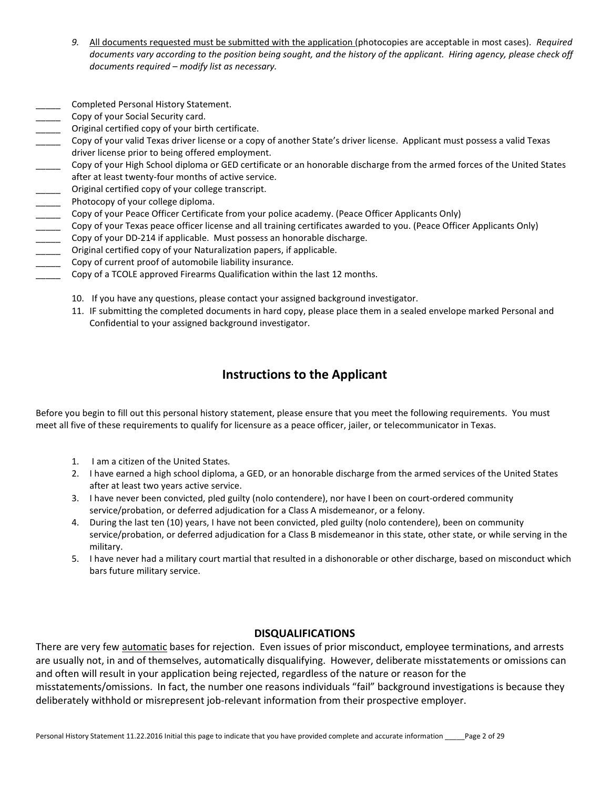- 9. All documents requested must be submitted with the application (photocopies are acceptable in most cases). Required documents vary according to the position being sought, and the history of the applicant. Hiring agency, please check off documents required – modify list as necessary.
- Completed Personal History Statement.
- Copy of your Social Security card.
- Original certified copy of your birth certificate.
- Copy of your valid Texas driver license or a copy of another State's driver license. Applicant must possess a valid Texas driver license prior to being offered employment.
- Copy of your High School diploma or GED certificate or an honorable discharge from the armed forces of the United States after at least twenty-four months of active service.
- Original certified copy of your college transcript.
- Photocopy of your college diploma.
- \_\_\_\_\_ Copy of your Peace Officer Certificate from your police academy. (Peace Officer Applicants Only)
- Copy of your Texas peace officer license and all training certificates awarded to you. (Peace Officer Applicants Only)
- Copy of your DD-214 if applicable. Must possess an honorable discharge.
- Original certified copy of your Naturalization papers, if applicable.
- Copy of current proof of automobile liability insurance.
- \_\_\_\_\_ Copy of a TCOLE approved Firearms Qualification within the last 12 months.
	- 10. If you have any questions, please contact your assigned background investigator.
	- 11. IF submitting the completed documents in hard copy, please place them in a sealed envelope marked Personal and Confidential to your assigned background investigator.

# Instructions to the Applicant

Before you begin to fill out this personal history statement, please ensure that you meet the following requirements. You must meet all five of these requirements to qualify for licensure as a peace officer, jailer, or telecommunicator in Texas.

- 1. I am a citizen of the United States.
- 2. I have earned a high school diploma, a GED, or an honorable discharge from the armed services of the United States after at least two years active service.
- 3. I have never been convicted, pled guilty (nolo contendere), nor have I been on court-ordered community service/probation, or deferred adjudication for a Class A misdemeanor, or a felony.
- 4. During the last ten (10) years, I have not been convicted, pled guilty (nolo contendere), been on community service/probation, or deferred adjudication for a Class B misdemeanor in this state, other state, or while serving in the military.
- 5. I have never had a military court martial that resulted in a dishonorable or other discharge, based on misconduct which bars future military service.

# DISQUALIFICATIONS

There are very few automatic bases for rejection. Even issues of prior misconduct, employee terminations, and arrests are usually not, in and of themselves, automatically disqualifying. However, deliberate misstatements or omissions can and often will result in your application being rejected, regardless of the nature or reason for the misstatements/omissions. In fact, the number one reasons individuals "fail" background investigations is because they

deliberately withhold or misrepresent job-relevant information from their prospective employer.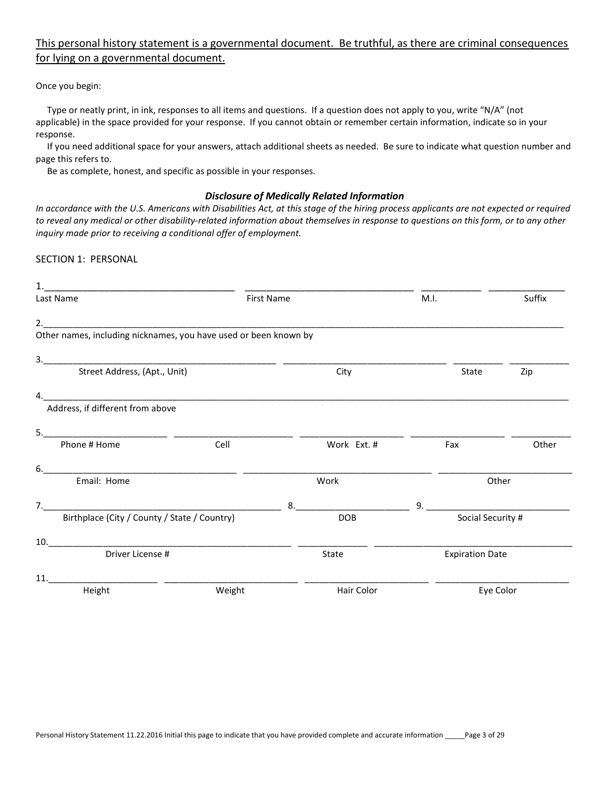# This personal history statement is a governmental document. Be truthful, as there are criminal consequences for lying on a governmental document.

Once you begin:

 Type or neatly print, in ink, responses to all items and questions. If a question does not apply to you, write "N/A" (not applicable) in the space provided for your response. If you cannot obtain or remember certain information, indicate so in your response.

 If you need additional space for your answers, attach additional sheets as needed. Be sure to indicate what question number and page this refers to.

Be as complete, honest, and specific as possible in your responses.

# Disclosure of Medically Related Information

In accordance with the U.S. Americans with Disabilities Act, at this stage of the hiring process applicants are not expected or required to reveal any medical or other disability-related information about themselves in response to questions on this form, or to any other inquiry made prior to receiving a conditional offer of employment.

SECTION 1: PERSONAL

| 1.<br><u> 2000 - 2000 - 2000 - 2000 - 2000 - 2000 - 2000 - 2000 - 2000 - 2000 - 2000 - 2000 - 2000 - 2000 - 2000 - 200</u>           |                      |                        |                   |
|--------------------------------------------------------------------------------------------------------------------------------------|----------------------|------------------------|-------------------|
| Last Name                                                                                                                            | <b>First Name</b>    | M.I.                   | Suffix            |
|                                                                                                                                      |                      |                        |                   |
| Other names, including nicknames, you have used or been known by                                                                     |                      |                        |                   |
| 3.<br><u> 1989 - Johann Harry Harry Harry Harry Harry Harry Harry Harry Harry Harry Harry Harry Harry Harry Harry Harry</u>          |                      |                        |                   |
| Street Address, (Apt., Unit)                                                                                                         | City                 | State                  | Zip               |
| <u> 1980 - Johann Barn, mars ann an t-Amhain Aonaich an t-Aonaich an t-Aonaich ann an t-Aonaich ann an t-Aonaich</u><br>$\mathbf{4}$ |                      |                        |                   |
| Address, if different from above                                                                                                     |                      |                        |                   |
| 5.                                                                                                                                   |                      |                        |                   |
| Phone # Home<br>Cell                                                                                                                 | Work Ext. #          | Fax                    | Other             |
| 6.<br><u> 2001 - Jan Samuel Barbara, martin da shekara 1992 - An an A</u>                                                            |                      |                        |                   |
| Email: Home                                                                                                                          | Work                 |                        | Other             |
| 7.                                                                                                                                   | 8.                   | 9.                     |                   |
| Birthplace (City / County / State / Country)                                                                                         | DOB                  |                        | Social Security # |
| 10.                                                                                                                                  |                      |                        |                   |
| Driver License #                                                                                                                     | <b>State</b>         | <b>Expiration Date</b> |                   |
| 11.<br><u> 1980 - Jan Samuel Barbara, martin d</u>                                                                                   |                      |                        |                   |
| Height                                                                                                                               | Weight<br>Hair Color |                        | Eye Color         |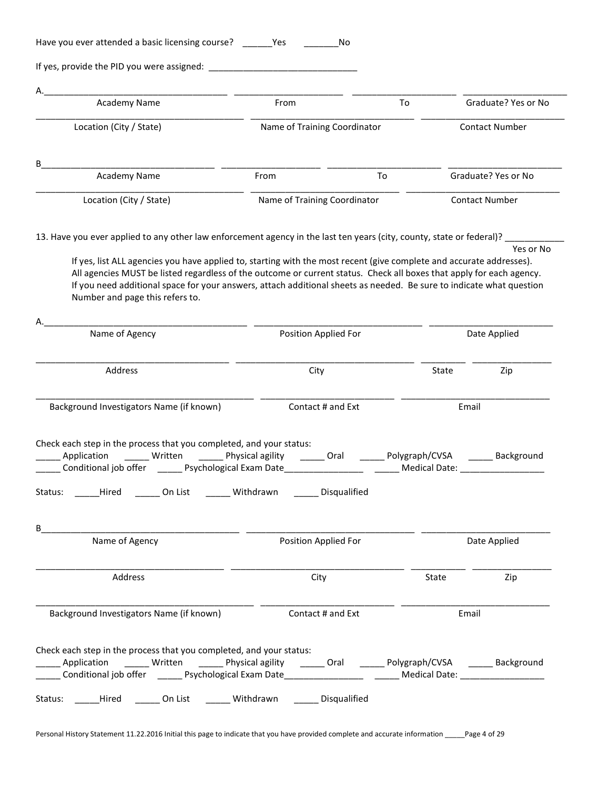| Α.<br>Academy Name                                                                                                                                                                                                                                            | From                         | To                                     |                    | Graduate? Yes or No   |
|---------------------------------------------------------------------------------------------------------------------------------------------------------------------------------------------------------------------------------------------------------------|------------------------------|----------------------------------------|--------------------|-----------------------|
|                                                                                                                                                                                                                                                               | Name of Training Coordinator |                                        |                    |                       |
| Location (City / State)                                                                                                                                                                                                                                       |                              |                                        |                    | <b>Contact Number</b> |
| В                                                                                                                                                                                                                                                             |                              |                                        |                    |                       |
| Academy Name                                                                                                                                                                                                                                                  | From                         | To                                     |                    | Graduate? Yes or No   |
| Location (City / State)                                                                                                                                                                                                                                       | Name of Training Coordinator |                                        |                    | <b>Contact Number</b> |
|                                                                                                                                                                                                                                                               |                              |                                        |                    |                       |
| 13. Have you ever applied to any other law enforcement agency in the last ten years (city, county, state or federal)?                                                                                                                                         |                              |                                        |                    | Yes or No             |
| If yes, list ALL agencies you have applied to, starting with the most recent (give complete and accurate addresses).                                                                                                                                          |                              |                                        |                    |                       |
| All agencies MUST be listed regardless of the outcome or current status. Check all boxes that apply for each agency.                                                                                                                                          |                              |                                        |                    |                       |
| If you need additional space for your answers, attach additional sheets as needed. Be sure to indicate what question                                                                                                                                          |                              |                                        |                    |                       |
| Number and page this refers to.                                                                                                                                                                                                                               |                              |                                        |                    |                       |
|                                                                                                                                                                                                                                                               |                              |                                        |                    |                       |
| Name of Agency                                                                                                                                                                                                                                                | Position Applied For         |                                        |                    | Date Applied          |
|                                                                                                                                                                                                                                                               |                              |                                        |                    |                       |
| Address                                                                                                                                                                                                                                                       | City                         |                                        | State              | Zip                   |
|                                                                                                                                                                                                                                                               |                              |                                        |                    |                       |
| Background Investigators Name (if known)                                                                                                                                                                                                                      | Contact # and Ext            |                                        | Email              |                       |
|                                                                                                                                                                                                                                                               |                              |                                        |                    |                       |
| Check each step in the process that you completed, and your status:                                                                                                                                                                                           |                              |                                        |                    |                       |
| Application<br>Written ________ Physical agility<br>Conditional job offer<br>_______ Psychological Exam Date                                                                                                                                                  | <b>Calcular</b> Oral         | Polygraph/CVSA<br><b>Medical Date:</b> |                    | Background            |
| Status: ______Hired _______ On List ________ Withdrawn _______ Disqualified                                                                                                                                                                                   |                              |                                        |                    |                       |
|                                                                                                                                                                                                                                                               |                              |                                        |                    |                       |
| B                                                                                                                                                                                                                                                             |                              |                                        |                    |                       |
| Name of Agency                                                                                                                                                                                                                                                | Position Applied For         |                                        |                    | Date Applied          |
|                                                                                                                                                                                                                                                               |                              |                                        |                    | Zip                   |
|                                                                                                                                                                                                                                                               |                              |                                        |                    |                       |
| Address                                                                                                                                                                                                                                                       | City                         |                                        | <b>State State</b> |                       |
| Background Investigators Name (if known)                                                                                                                                                                                                                      | Contact # and Ext            |                                        | Email              |                       |
|                                                                                                                                                                                                                                                               |                              |                                        |                    |                       |
| Check each step in the process that you completed, and your status:                                                                                                                                                                                           |                              |                                        |                    |                       |
| ______ Application _______ Written _______ Physical agility _______ Oral _______ Polygraph/CVSA _______ Background<br>______ Conditional job offer ________ Psychological Exam Date_____________________________Medical Date: _______________________________ |                              |                                        |                    |                       |

Personal History Statement 11.22.2016 Initial this page to indicate that you have provided complete and accurate information \_\_\_\_Page 4 of 29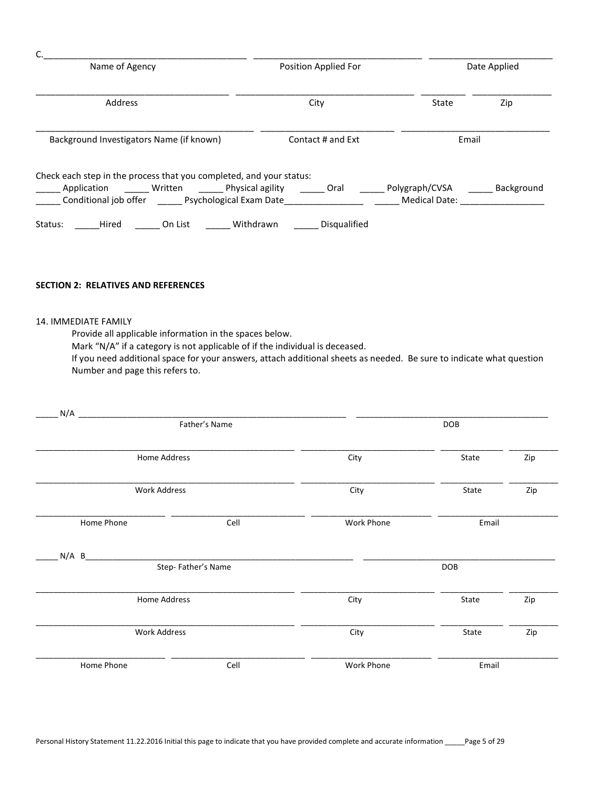|         | Name of Agency                           |                |                                                                     | Position Applied For |                                 | Date Applied |  |
|---------|------------------------------------------|----------------|---------------------------------------------------------------------|----------------------|---------------------------------|--------------|--|
| Address |                                          |                | City                                                                | State                | Zip                             |              |  |
|         | Background Investigators Name (if known) |                |                                                                     | Contact # and Ext    | Email                           |              |  |
|         |                                          |                | Check each step in the process that you completed, and your status: |                      |                                 |              |  |
|         | Application                              | <b>Written</b> | Physical agility<br>Conditional job offer Psychological Exam Date   | Oral                 | Polygraph/CVSA<br>Medical Date: | Background   |  |
| Status: | Hired                                    | On List        | Withdrawn                                                           | Disqualified         |                                 |              |  |

# SECTION 2: RELATIVES AND REFERENCES

#### 14. IMMEDIATE FAMILY

Provide all applicable information in the spaces below.

Mark "N/A" if a category is not applicable of if the individual is deceased.

 If you need additional space for your answers, attach additional sheets as needed. Be sure to indicate what question Number and page this refers to.

|                     | Father's Name      |            | <b>DOB</b> |            |
|---------------------|--------------------|------------|------------|------------|
| Home Address        |                    | City       | State      | Zip        |
| <b>Work Address</b> |                    | City       | State      | Zip        |
| Home Phone          | Cell               | Work Phone | Email      |            |
| $N/A$ B             |                    |            |            |            |
|                     | Step-Father's Name |            | <b>DOB</b> |            |
| Home Address        |                    | City       | State      |            |
| <b>Work Address</b> |                    | City       | State      | Zip<br>Zip |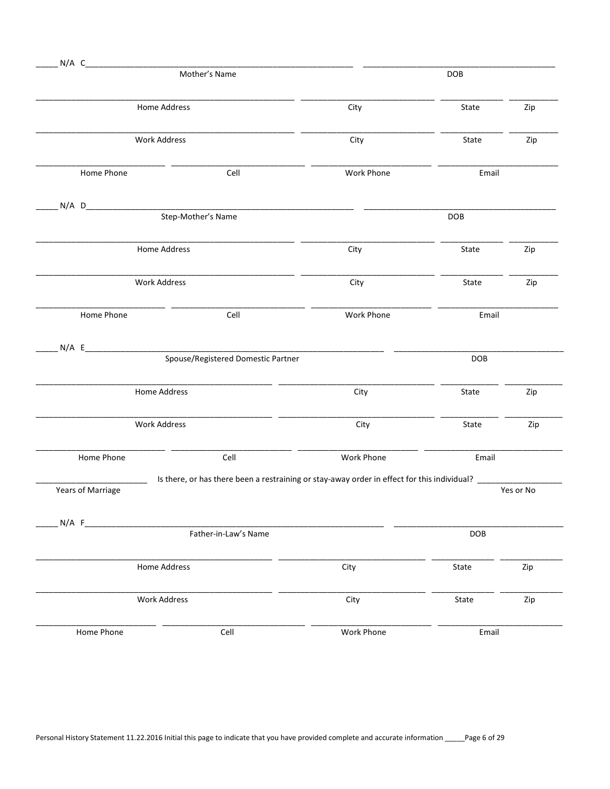| $N/A$ C<br>Mother's Name |                                                 | DOB                                                                                                           |            |           |
|--------------------------|-------------------------------------------------|---------------------------------------------------------------------------------------------------------------|------------|-----------|
| Home Address             |                                                 | City                                                                                                          | State      | Zip       |
| <b>Work Address</b>      |                                                 | City                                                                                                          | State      | Zip       |
| Home Phone               | Cell                                            | Work Phone                                                                                                    | Email      |           |
| N/A D                    | <u>Step-Mother's Name</u><br>Step-Mother's Name |                                                                                                               | <b>DOB</b> |           |
|                          |                                                 |                                                                                                               |            |           |
| Home Address             |                                                 | City                                                                                                          | State      | Zip       |
| Work Address             |                                                 | City                                                                                                          | State      | Zip       |
| Home Phone               | Cell                                            | Work Phone                                                                                                    | Email      |           |
| N/A E                    | Spouse/Registered Domestic Partner              |                                                                                                               | DOB        |           |
| Home Address             |                                                 | City                                                                                                          | State      | Zip       |
| Work Address             |                                                 | City                                                                                                          | State      | Zip       |
| Home Phone               | Cell                                            | Work Phone                                                                                                    | Email      |           |
| Years of Marriage        |                                                 | Is there, or has there been a restraining or stay-away order in effect for this individual? _________________ |            | Yes or No |
| $N/A$ F                  | Father-in-Law's Name                            |                                                                                                               | <b>DOB</b> |           |
| Home Address             |                                                 | City                                                                                                          | State      | Zip       |
| Work Address             |                                                 | City                                                                                                          | State      | Zip       |
| Home Phone               | Cell                                            | Work Phone                                                                                                    | Email      |           |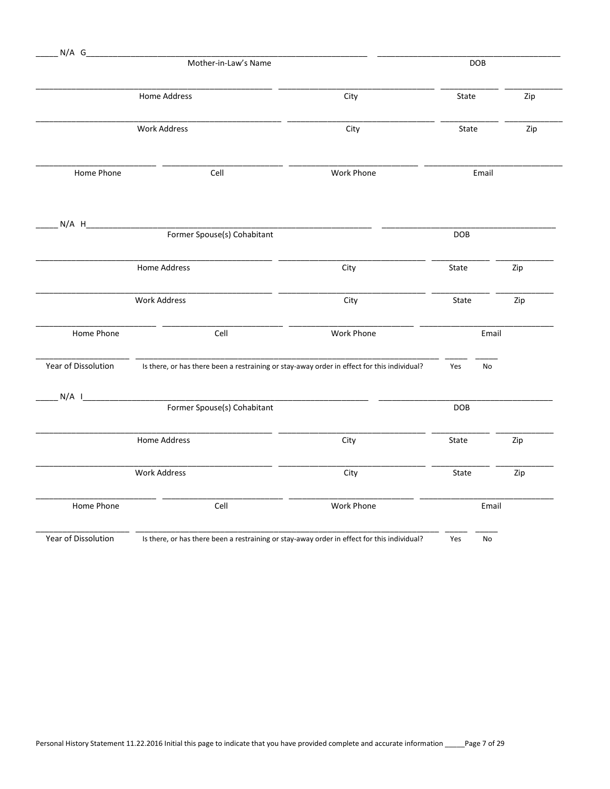| $N/A$ G             |                                                                                             |                   |            |            |     |
|---------------------|---------------------------------------------------------------------------------------------|-------------------|------------|------------|-----|
|                     | Mother-in-Law's Name                                                                        |                   |            | <b>DOB</b> |     |
|                     | <b>Home Address</b>                                                                         | City              | State      |            | Zip |
|                     | <b>Work Address</b>                                                                         | City              | State      |            | Zip |
| Home Phone          | Cell                                                                                        | Work Phone        |            | Email      |     |
| $N/A$ H             | Former Spouse(s) Cohabitant                                                                 |                   | <b>DOB</b> |            |     |
|                     | Home Address                                                                                | City              | State      | Zip        |     |
|                     |                                                                                             |                   |            |            |     |
|                     | <b>Work Address</b>                                                                         | City              | State      | Zip        |     |
| Home Phone          | Cell                                                                                        | <b>Work Phone</b> |            | Email      |     |
| Year of Dissolution | Is there, or has there been a restraining or stay-away order in effect for this individual? |                   | Yes        | No         |     |
| $N/A$               | Former Spouse(s) Cohabitant                                                                 |                   | DOB        |            |     |
|                     | Home Address                                                                                | City              | State      | Zip        |     |
|                     | <b>Work Address</b>                                                                         | City              | State      | Zip        |     |
| Home Phone          | Cell                                                                                        | Work Phone        |            | Email      |     |
| Year of Dissolution | Is there, or has there been a restraining or stay-away order in effect for this individual? |                   | Yes        | No         |     |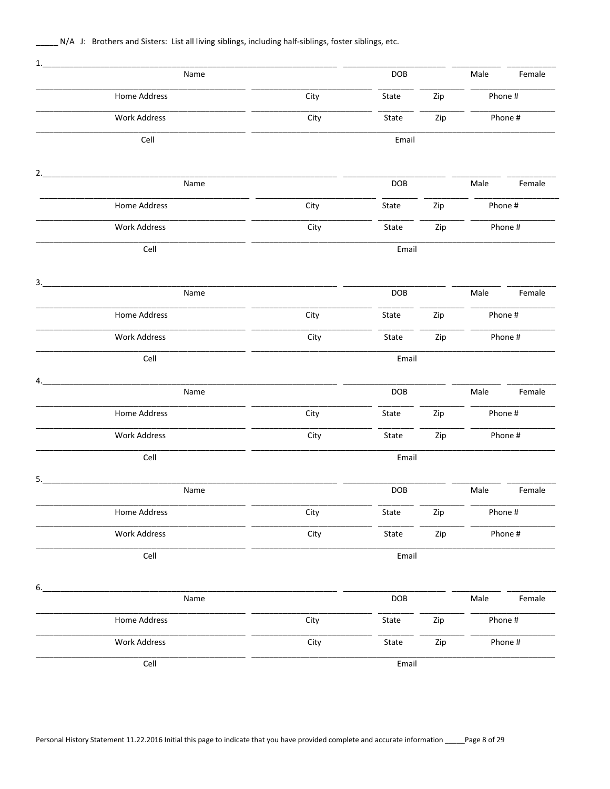N/A J: Brothers and Sisters: List all living siblings, including half-siblings, foster siblings, etc.

| 1. |                     |      |            |     |         |         |
|----|---------------------|------|------------|-----|---------|---------|
|    | Name                |      | DOB        |     | Male    | Female  |
|    | Home Address        | City | State      | Zip | Phone # |         |
|    | <b>Work Address</b> | City | State      | Zip |         | Phone # |
|    | Cell                |      | Email      |     |         |         |
| 2. |                     |      |            |     |         |         |
|    | Name                |      | DOB        |     | Male    | Female  |
|    | Home Address        | City | State      | Zip | Phone # |         |
|    | <b>Work Address</b> | City | State      | Zip |         | Phone # |
|    | Cell                |      | Email      |     |         |         |
| 3. |                     |      |            |     |         |         |
|    | Name                |      | <b>DOB</b> |     | Male    | Female  |
|    | Home Address        | City | State      | Zip | Phone # |         |
|    | <b>Work Address</b> | City | State      | Zip |         | Phone # |
|    | Cell                |      | Email      |     |         |         |
| 4. | Name                |      | DOB        |     | Male    | Female  |
|    | Home Address        | City | State      | Zip | Phone # |         |
|    | <b>Work Address</b> | City | State      | Zip |         | Phone # |
|    | Cell                |      | Email      |     |         |         |
| 5. | Name                |      | DOB        |     | Male    | Female  |
|    | Home Address        | City | State      | Zip | Phone # |         |
|    | <b>Work Address</b> | City | State      | Zip |         | Phone # |
|    | Cell                |      | Email      |     |         |         |
| 6. |                     |      |            |     |         |         |
|    | Name                |      | DOB        |     | Male    | Female  |
|    | Home Address        | City | State      | Zip | Phone # |         |
|    | <b>Work Address</b> | City | State      | Zip |         | Phone # |
|    | Cell                |      | Email      |     |         |         |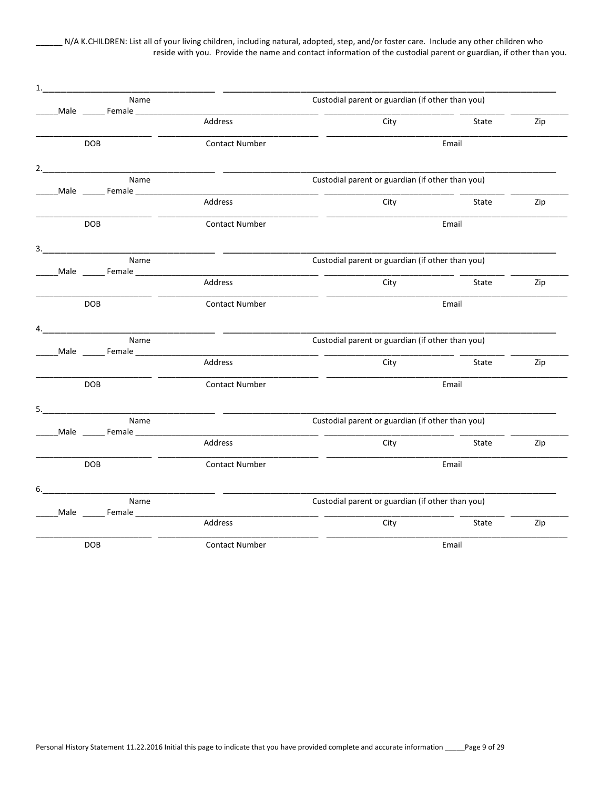\_\_\_\_\_\_ N/A K.CHILDREN: List all of your living children, including natural, adopted, step, and/or foster care. Include any other children who reside with you. Provide the name and contact information of the custodial parent or guardian, if other than you.

| 1. |                                                            |                          |                                                  |       |     |
|----|------------------------------------------------------------|--------------------------|--------------------------------------------------|-------|-----|
|    | Name                                                       | Male Female              | Custodial parent or guardian (if other than you) |       |     |
|    |                                                            | Address                  | City                                             | State | Zip |
|    | <b>DOB</b>                                                 | <b>Contact Number</b>    |                                                  | Email |     |
| 2. |                                                            |                          |                                                  |       |     |
|    | Name<br>_Male ________ Female ________________             |                          | Custodial parent or guardian (if other than you) |       |     |
|    |                                                            | Address                  | City                                             | State | Zip |
|    | <b>DOB</b>                                                 | <b>Contact Number</b>    |                                                  | Email |     |
|    | 3.                                                         | <u> 1999 - Jan James</u> |                                                  |       |     |
|    | Name                                                       |                          | Custodial parent or guardian (if other than you) |       |     |
|    |                                                            | Address                  | City                                             | State | Zip |
|    | <b>DOB</b>                                                 | <b>Contact Number</b>    |                                                  | Email |     |
| 4. |                                                            |                          |                                                  |       |     |
|    | Name<br>_Male _______ Female _____________________________ |                          | Custodial parent or guardian (if other than you) |       |     |
|    |                                                            | Address                  | City                                             | State | Zip |
|    | <b>DOB</b>                                                 | <b>Contact Number</b>    |                                                  | Email |     |
| 5. |                                                            |                          |                                                  |       |     |
|    | Name<br>Male ________ Female ________________              |                          | Custodial parent or guardian (if other than you) |       |     |
|    |                                                            | Address                  | City                                             | State | Zip |
|    | DOB                                                        | <b>Contact Number</b>    |                                                  | Email |     |
| 6. |                                                            |                          |                                                  |       |     |
|    | Name                                                       |                          | Custodial parent or guardian (if other than you) |       |     |
|    |                                                            | Address                  | City                                             | State | Zip |
|    | <b>DOB</b>                                                 | <b>Contact Number</b>    |                                                  | Email |     |
|    |                                                            |                          |                                                  |       |     |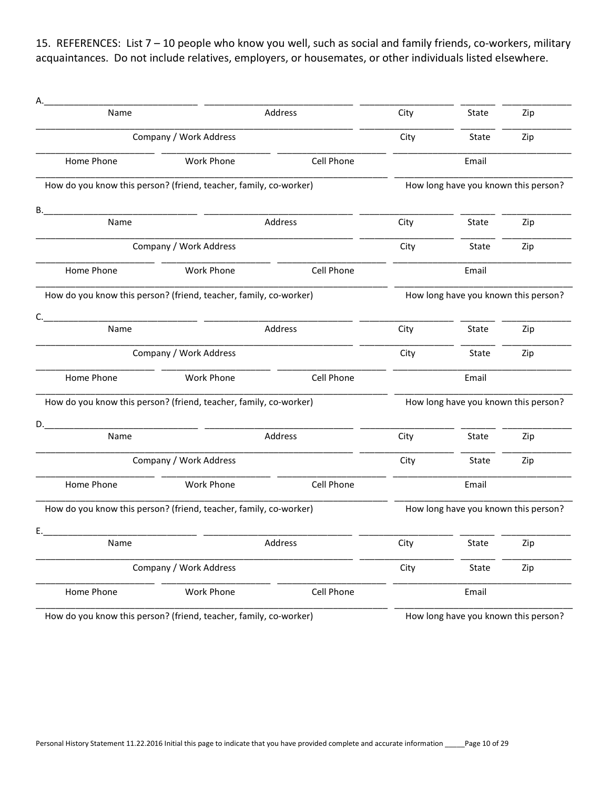15. REFERENCES: List 7 – 10 people who know you well, such as social and family friends, co-workers, military acquaintances. Do not include relatives, employers, or housemates, or other individuals listed elsewhere.

| Name       |                                                                   | Address           | City | State<br>Zip                         |     |
|------------|-------------------------------------------------------------------|-------------------|------|--------------------------------------|-----|
|            | Company / Work Address                                            |                   | City | State                                | Zip |
| Home Phone | Work Phone                                                        | <b>Cell Phone</b> |      | Email                                |     |
|            | How do you know this person? (friend, teacher, family, co-worker) |                   |      | How long have you known this person? |     |
| В.         |                                                                   |                   |      |                                      |     |
| Name       |                                                                   | Address           | City | State                                | Zip |
|            | Company / Work Address                                            |                   | City | State                                | Zip |
| Home Phone | Work Phone                                                        | Cell Phone        |      | Email                                |     |
|            | How do you know this person? (friend, teacher, family, co-worker) |                   |      | How long have you known this person? |     |
| C.<br>Name |                                                                   | Address           | City | State                                | Zip |
|            | Company / Work Address                                            |                   |      | State                                | Zip |
| Home Phone | Work Phone                                                        | Cell Phone        |      | Email                                |     |
|            | How do you know this person? (friend, teacher, family, co-worker) |                   |      | How long have you known this person? |     |
| D.         |                                                                   |                   |      |                                      |     |
| Name       |                                                                   | Address           | City | State                                | Zip |
|            | Company / Work Address                                            |                   | City | State                                | Zip |
| Home Phone | Work Phone                                                        | Cell Phone        |      | Email                                |     |
|            | How do you know this person? (friend, teacher, family, co-worker) |                   |      | How long have you known this person? |     |
| E.         |                                                                   |                   |      |                                      |     |
| Name       |                                                                   | Address           | City | State                                | Zip |
|            | Company / Work Address                                            |                   | City | State                                | Zip |
| Home Phone | Work Phone                                                        | Cell Phone        |      | Email                                |     |
|            | How do you know this person? (friend, teacher, family, co-worker) |                   |      | How long have you known this person? |     |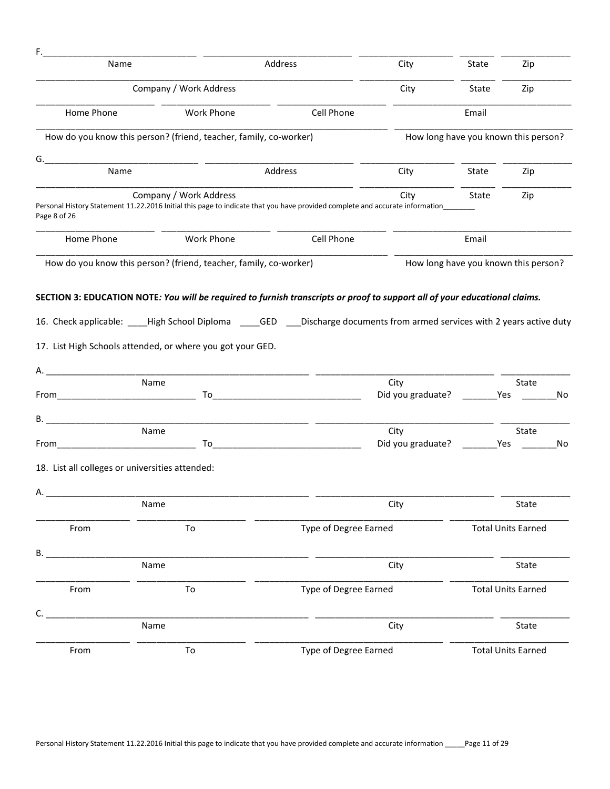| F.           |                                                                                                                                                                                                                                      |                       |                                           |                                      |                           |    |
|--------------|--------------------------------------------------------------------------------------------------------------------------------------------------------------------------------------------------------------------------------------|-----------------------|-------------------------------------------|--------------------------------------|---------------------------|----|
| Name         |                                                                                                                                                                                                                                      | Address               |                                           | State                                | Zip                       |    |
|              | Company / Work Address                                                                                                                                                                                                               |                       | City                                      | State                                | Zip                       |    |
| Home Phone   | Work Phone                                                                                                                                                                                                                           | Cell Phone            |                                           | Email                                |                           |    |
|              | How do you know this person? (friend, teacher, family, co-worker)                                                                                                                                                                    |                       |                                           | How long have you known this person? |                           |    |
| G.           |                                                                                                                                                                                                                                      |                       |                                           |                                      |                           |    |
| Name         |                                                                                                                                                                                                                                      | Address               | City                                      | State                                | Zip                       |    |
| Page 8 of 26 | Company / Work Address<br>Personal History Statement 11.22.2016 Initial this page to indicate that you have provided complete and accurate information_                                                                              |                       | City                                      | State                                | Zip                       |    |
| Home Phone   | Work Phone                                                                                                                                                                                                                           | Cell Phone            |                                           | Email                                |                           |    |
|              | How do you know this person? (friend, teacher, family, co-worker)                                                                                                                                                                    |                       |                                           | How long have you known this person? |                           |    |
|              | <u> 1989 - Johann John Harry Harry Harry Harry Harry Harry Harry Harry Harry Harry Harry Harry Harry Harry Harry</u><br>Name                                                                                                         |                       | City<br>Did you graduate? ___________ Yes |                                      | State                     | No |
|              |                                                                                                                                                                                                                                      |                       |                                           |                                      |                           |    |
| В.           | Name                                                                                                                                                                                                                                 |                       | City                                      |                                      | State                     |    |
| From         | <u> To Discover and To Discover and To Discover and To Discover and To Discover and To Discover and To Discover and To Discover and To Discover and To Discover and To Discover and To Discover and To Discover and To Discover </u> |                       | Did you graduate? ___________ Yes         |                                      |                           | No |
|              | 18. List all colleges or universities attended:                                                                                                                                                                                      |                       |                                           |                                      |                           |    |
| Α.           |                                                                                                                                                                                                                                      |                       |                                           |                                      |                           |    |
|              | Name                                                                                                                                                                                                                                 |                       | City                                      |                                      | State                     |    |
| From         | To                                                                                                                                                                                                                                   | Type of Degree Earned |                                           |                                      | <b>Total Units Earned</b> |    |
| В.           |                                                                                                                                                                                                                                      |                       |                                           |                                      |                           |    |
|              | Name                                                                                                                                                                                                                                 |                       | City                                      |                                      | State                     |    |
| From         | To                                                                                                                                                                                                                                   | Type of Degree Earned |                                           |                                      | <b>Total Units Earned</b> |    |
|              | Name                                                                                                                                                                                                                                 |                       | City                                      |                                      | State                     |    |
| From         | To                                                                                                                                                                                                                                   | Type of Degree Earned |                                           |                                      | <b>Total Units Earned</b> |    |
|              |                                                                                                                                                                                                                                      |                       |                                           |                                      |                           |    |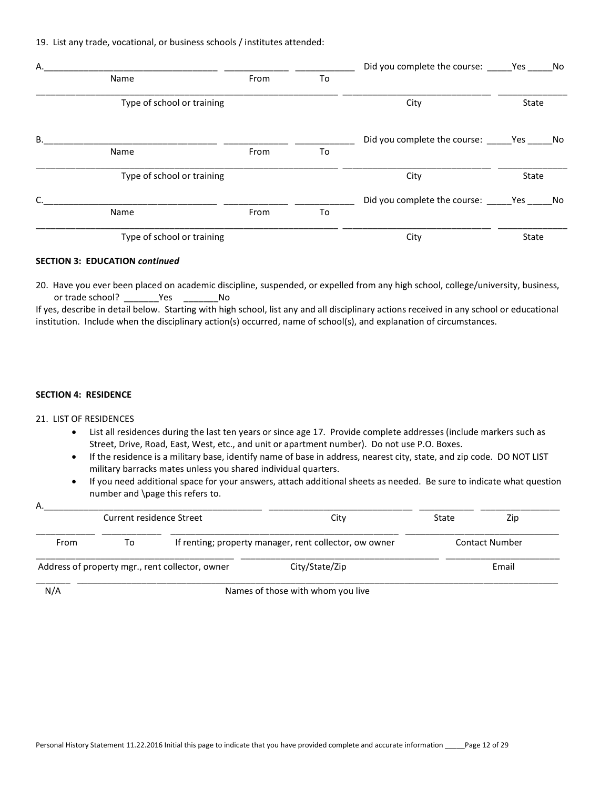19. List any trade, vocational, or business schools / institutes attended:

| Α. |                            |      |    | Did you complete the course: _______ Yes ______ No |       |    |
|----|----------------------------|------|----|----------------------------------------------------|-------|----|
|    | Name                       | From | To |                                                    |       |    |
|    | Type of school or training |      |    | City                                               | State |    |
| В. |                            |      |    | Did you complete the course: Yes                   |       | No |
|    | Name                       | From | To |                                                    |       |    |
|    | Type of school or training |      |    | City                                               | State |    |
| C. |                            |      |    | Did you complete the course: Yes No                |       |    |
|    | Name                       | From | To |                                                    |       |    |
|    | Type of school or training |      |    | City                                               | State |    |

#### SECTION 3: EDUCATION continued

20. Have you ever been placed on academic discipline, suspended, or expelled from any high school, college/university, business, or trade school? The Sea No

If yes, describe in detail below. Starting with high school, list any and all disciplinary actions received in any school or educational institution. Include when the disciplinary action(s) occurred, name of school(s), and explanation of circumstances.

#### SECTION 4: RESIDENCE

#### 21. LIST OF RESIDENCES

- List all residences during the last ten years or since age 17. Provide complete addresses (include markers such as Street, Drive, Road, East, West, etc., and unit or apartment number). Do not use P.O. Boxes.
- If the residence is a military base, identify name of base in address, nearest city, state, and zip code. DO NOT LIST military barracks mates unless you shared individual quarters.
- If you need additional space for your answers, attach additional sheets as needed. Be sure to indicate what question number and \page this refers to.

| А.   | Current residence Street |                                                 | City                                                   | State | Zip                   |
|------|--------------------------|-------------------------------------------------|--------------------------------------------------------|-------|-----------------------|
| From | To                       |                                                 | If renting; property manager, rent collector, ow owner |       | <b>Contact Number</b> |
|      |                          | Address of property mgr., rent collector, owner | City/State/Zip                                         |       | Email                 |
| N/A  |                          |                                                 | Names of those with whom you live                      |       |                       |

iames of those with whom you live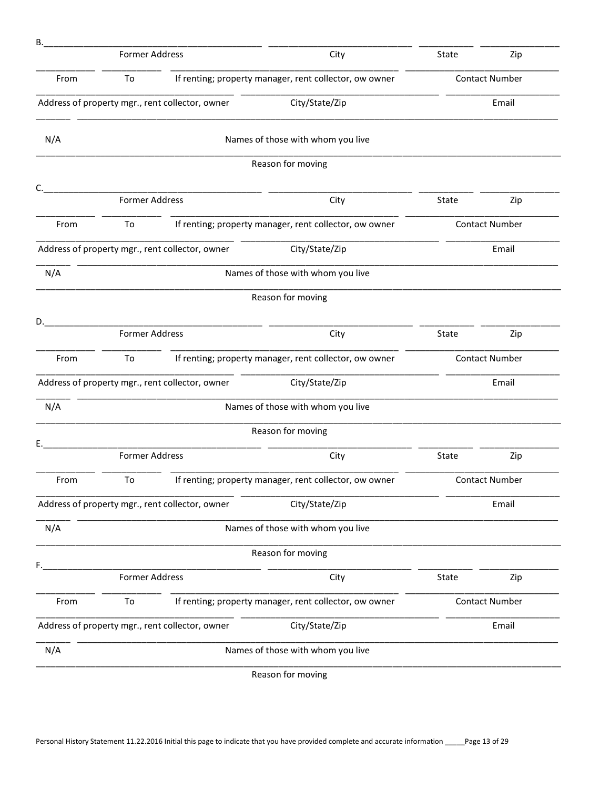| В.   |                       |                                                 |                                                        |                       |                       |
|------|-----------------------|-------------------------------------------------|--------------------------------------------------------|-----------------------|-----------------------|
|      | <b>Former Address</b> |                                                 | City                                                   | State                 | Zip                   |
| From | To                    |                                                 | If renting; property manager, rent collector, ow owner | <b>Contact Number</b> |                       |
|      |                       | Address of property mgr., rent collector, owner | City/State/Zip                                         |                       | Email                 |
| N/A  |                       |                                                 | Names of those with whom you live                      |                       |                       |
|      |                       |                                                 | Reason for moving                                      |                       |                       |
| C.   | <b>Former Address</b> |                                                 | City                                                   | State                 | Zip                   |
| From | To                    |                                                 | If renting; property manager, rent collector, ow owner |                       | <b>Contact Number</b> |
|      |                       | Address of property mgr., rent collector, owner | City/State/Zip                                         |                       | Email                 |
| N/A  |                       |                                                 | Names of those with whom you live                      |                       |                       |
|      |                       |                                                 | Reason for moving                                      |                       |                       |
| D.   | <b>Former Address</b> |                                                 | City                                                   | State                 | Zip                   |
| From | To                    |                                                 | If renting; property manager, rent collector, ow owner |                       | <b>Contact Number</b> |
|      |                       | Address of property mgr., rent collector, owner | City/State/Zip                                         |                       | Email                 |
| N/A  |                       |                                                 | Names of those with whom you live                      |                       |                       |
|      |                       |                                                 | Reason for moving                                      |                       |                       |
| Ε.   | <b>Former Address</b> |                                                 | City                                                   | State                 | Zip                   |
| From | To                    |                                                 | If renting; property manager, rent collector, ow owner |                       | <b>Contact Number</b> |
|      |                       | Address of property mgr., rent collector, owner | City/State/Zip                                         |                       | Email                 |
| N/A  |                       |                                                 | Names of those with whom you live                      |                       |                       |
|      |                       |                                                 | Reason for moving                                      |                       |                       |
| F.   | <b>Former Address</b> |                                                 | City                                                   | State                 | Zip                   |
| From | To                    |                                                 | If renting; property manager, rent collector, ow owner |                       | <b>Contact Number</b> |
|      |                       | Address of property mgr., rent collector, owner | City/State/Zip                                         |                       | Email                 |
| N/A  |                       |                                                 | Names of those with whom you live                      |                       |                       |
|      |                       |                                                 | Reason for moving                                      |                       |                       |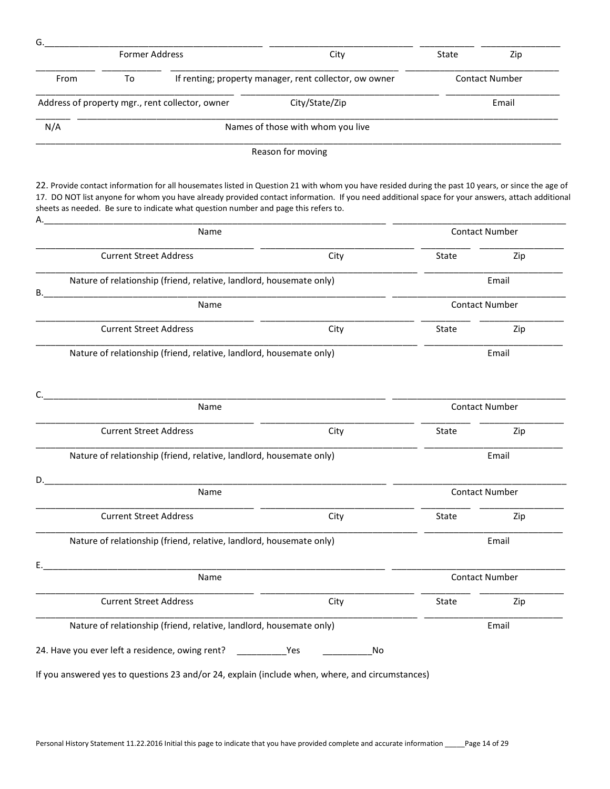|                                                                     | <b>Former Address</b>         |                                                                                     | City                                                                                                                                                                                                                                                                                                 | State                 | Zip                   |
|---------------------------------------------------------------------|-------------------------------|-------------------------------------------------------------------------------------|------------------------------------------------------------------------------------------------------------------------------------------------------------------------------------------------------------------------------------------------------------------------------------------------------|-----------------------|-----------------------|
| To<br>From                                                          |                               |                                                                                     | If renting; property manager, rent collector, ow owner                                                                                                                                                                                                                                               | <b>Contact Number</b> |                       |
|                                                                     |                               | Address of property mgr., rent collector, owner                                     | City/State/Zip                                                                                                                                                                                                                                                                                       | Email                 |                       |
| N/A                                                                 |                               |                                                                                     | Names of those with whom you live                                                                                                                                                                                                                                                                    |                       |                       |
|                                                                     |                               |                                                                                     | Reason for moving                                                                                                                                                                                                                                                                                    |                       |                       |
|                                                                     |                               | sheets as needed. Be sure to indicate what question number and page this refers to. | 22. Provide contact information for all housemates listed in Question 21 with whom you have resided during the past 10 years, or since the age of<br>17. DO NOT list anyone for whom you have already provided contact information. If you need additional space for your answers, attach additional |                       |                       |
|                                                                     | Name                          |                                                                                     |                                                                                                                                                                                                                                                                                                      |                       | <b>Contact Number</b> |
|                                                                     | <b>Current Street Address</b> |                                                                                     | City                                                                                                                                                                                                                                                                                                 | State                 | Zip                   |
| В.                                                                  |                               | Nature of relationship (friend, relative, landlord, housemate only)                 |                                                                                                                                                                                                                                                                                                      |                       | Email                 |
|                                                                     |                               | Name                                                                                |                                                                                                                                                                                                                                                                                                      |                       | <b>Contact Number</b> |
|                                                                     | <b>Current Street Address</b> |                                                                                     | City                                                                                                                                                                                                                                                                                                 | State                 | Zip                   |
| Nature of relationship (friend, relative, landlord, housemate only) |                               |                                                                                     |                                                                                                                                                                                                                                                                                                      |                       |                       |
|                                                                     |                               |                                                                                     |                                                                                                                                                                                                                                                                                                      |                       | Email                 |
|                                                                     |                               |                                                                                     |                                                                                                                                                                                                                                                                                                      |                       |                       |
|                                                                     |                               |                                                                                     |                                                                                                                                                                                                                                                                                                      |                       |                       |
|                                                                     |                               | Name                                                                                |                                                                                                                                                                                                                                                                                                      |                       | <b>Contact Number</b> |
|                                                                     | <b>Current Street Address</b> |                                                                                     | City                                                                                                                                                                                                                                                                                                 | State                 | Zip                   |
|                                                                     |                               | Nature of relationship (friend, relative, landlord, housemate only)                 |                                                                                                                                                                                                                                                                                                      |                       | Email                 |
|                                                                     |                               |                                                                                     |                                                                                                                                                                                                                                                                                                      |                       |                       |
|                                                                     |                               | Name                                                                                |                                                                                                                                                                                                                                                                                                      |                       | <b>Contact Number</b> |
|                                                                     | <b>Current Street Address</b> |                                                                                     | City                                                                                                                                                                                                                                                                                                 | State                 | Zip                   |
|                                                                     |                               | Nature of relationship (friend, relative, landlord, housemate only)                 |                                                                                                                                                                                                                                                                                                      |                       | Email                 |
| D.<br>Ε.                                                            |                               |                                                                                     |                                                                                                                                                                                                                                                                                                      |                       |                       |
|                                                                     |                               | Name                                                                                |                                                                                                                                                                                                                                                                                                      |                       | <b>Contact Number</b> |
|                                                                     | <b>Current Street Address</b> |                                                                                     | City                                                                                                                                                                                                                                                                                                 | State                 | Zip                   |
|                                                                     |                               | Nature of relationship (friend, relative, landlord, housemate only)                 |                                                                                                                                                                                                                                                                                                      |                       | Email                 |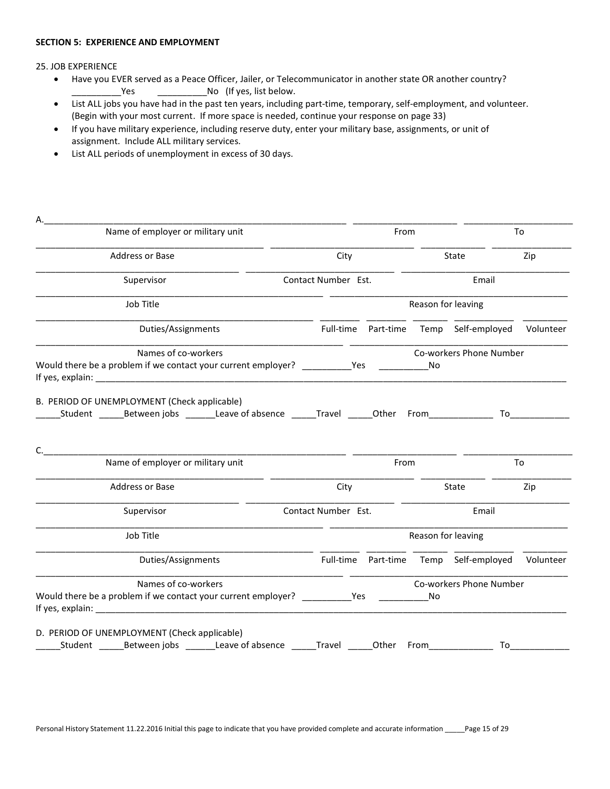#### SECTION 5: EXPERIENCE AND EMPLOYMENT

25. JOB EXPERIENCE

- Have you EVER served as a Peace Officer, Jailer, or Telecommunicator in another state OR another country? \_\_\_\_\_\_\_\_\_\_\_\_\_Yes \_\_\_\_\_\_\_\_\_\_\_\_\_\_\_\_\_\_No (If yes, list below.
- List ALL jobs you have had in the past ten years, including part-time, temporary, self-employment, and volunteer. (Begin with your most current. If more space is needed, continue your response on page 33)
- If you have military experience, including reserve duty, enter your military base, assignments, or unit of assignment. Include ALL military services.
- List ALL periods of unemployment in excess of 30 days.

| Name of employer or military unit                          |                     |      | From               |                                                  | To                 |  |
|------------------------------------------------------------|---------------------|------|--------------------|--------------------------------------------------|--------------------|--|
| Address or Base                                            | City                |      |                    | State                                            | Zip                |  |
| Supervisor                                                 | Contact Number Est. |      |                    | Email                                            |                    |  |
| Job Title                                                  |                     |      | Reason for leaving |                                                  |                    |  |
| Duties/Assignments                                         |                     |      |                    | Full-time Part-time Temp Self-employed Volunteer |                    |  |
| Names of co-workers                                        |                     |      |                    | Co-workers Phone Number                          |                    |  |
|                                                            |                     |      |                    |                                                  |                    |  |
| Student Between jobs Leave of absence Travel Other From    |                     |      |                    |                                                  |                    |  |
| Name of employer or military unit                          |                     | From |                    |                                                  | To                 |  |
| <b>Address or Base</b>                                     | City                |      |                    | State                                            | Zip                |  |
| B. PERIOD OF UNEMPLOYMENT (Check applicable)<br>Supervisor | Contact Number Est. |      |                    | Email                                            | To $\qquad \qquad$ |  |
| Job Title                                                  |                     |      | Reason for leaving |                                                  |                    |  |
| Duties/Assignments                                         |                     |      |                    | Full-time Part-time Temp Self-employed Volunteer |                    |  |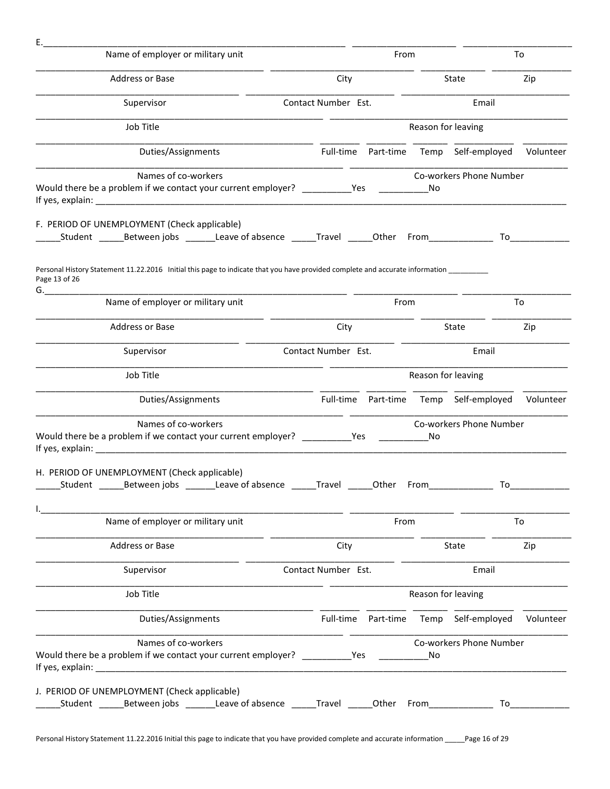| Е.                                                                                                                                                        |                                                  |                                                                                                                                                                                                                                |                                                                                                                 |                                                                                                                                                                                                                                |
|-----------------------------------------------------------------------------------------------------------------------------------------------------------|--------------------------------------------------|--------------------------------------------------------------------------------------------------------------------------------------------------------------------------------------------------------------------------------|-----------------------------------------------------------------------------------------------------------------|--------------------------------------------------------------------------------------------------------------------------------------------------------------------------------------------------------------------------------|
| Name of employer or military unit                                                                                                                         |                                                  | From                                                                                                                                                                                                                           |                                                                                                                 | To                                                                                                                                                                                                                             |
| Address or Base                                                                                                                                           | City                                             |                                                                                                                                                                                                                                | State                                                                                                           | Zip                                                                                                                                                                                                                            |
| Supervisor                                                                                                                                                | Contact Number Est.                              |                                                                                                                                                                                                                                | Email                                                                                                           |                                                                                                                                                                                                                                |
| Job Title                                                                                                                                                 |                                                  | Reason for leaving                                                                                                                                                                                                             |                                                                                                                 |                                                                                                                                                                                                                                |
| Duties/Assignments                                                                                                                                        | Full-time Part-time Temp Self-employed Volunteer |                                                                                                                                                                                                                                |                                                                                                                 |                                                                                                                                                                                                                                |
| Names of co-workers                                                                                                                                       |                                                  |                                                                                                                                                                                                                                | Co-workers Phone Number                                                                                         |                                                                                                                                                                                                                                |
| Would there be a problem if we contact your current employer? __________Yes _________                                                                     |                                                  | No                                                                                                                                                                                                                             |                                                                                                                 |                                                                                                                                                                                                                                |
| F. PERIOD OF UNEMPLOYMENT (Check applicable)<br>_Student ________Between jobs _________Leave of absence _______Travel _______Other From__________________ |                                                  |                                                                                                                                                                                                                                | To the set of the set of the set of the set of the set of the set of the set of the set of the set of the set o |                                                                                                                                                                                                                                |
| Personal History Statement 11.22.2016 Initial this page to indicate that you have provided complete and accurate information _________<br>Page 13 of 26   |                                                  |                                                                                                                                                                                                                                |                                                                                                                 |                                                                                                                                                                                                                                |
| Name of employer or military unit                                                                                                                         |                                                  | From                                                                                                                                                                                                                           |                                                                                                                 | To                                                                                                                                                                                                                             |
| Address or Base                                                                                                                                           | City                                             |                                                                                                                                                                                                                                | State                                                                                                           | Zip                                                                                                                                                                                                                            |
| Supervisor                                                                                                                                                | Contact Number Est.                              |                                                                                                                                                                                                                                | Email                                                                                                           |                                                                                                                                                                                                                                |
| Job Title                                                                                                                                                 |                                                  | Reason for leaving                                                                                                                                                                                                             |                                                                                                                 |                                                                                                                                                                                                                                |
| Duties/Assignments                                                                                                                                        | Full-time Part-time Temp Self-employed Volunteer |                                                                                                                                                                                                                                |                                                                                                                 |                                                                                                                                                                                                                                |
| Names of co-workers<br>Would there be a problem if we contact your current employer? Yes                                                                  |                                                  | No                                                                                                                                                                                                                             | Co-workers Phone Number                                                                                         |                                                                                                                                                                                                                                |
| H. PERIOD OF UNEMPLOYMENT (Check applicable)<br>Student ________Between jobs _________Leave of absence _______Travel _______Other From____                |                                                  |                                                                                                                                                                                                                                | T∩.                                                                                                             |                                                                                                                                                                                                                                |
| Name of employer or military unit                                                                                                                         |                                                  | From                                                                                                                                                                                                                           |                                                                                                                 | To                                                                                                                                                                                                                             |
|                                                                                                                                                           |                                                  |                                                                                                                                                                                                                                |                                                                                                                 |                                                                                                                                                                                                                                |
| Address or Base                                                                                                                                           | City                                             |                                                                                                                                                                                                                                | State                                                                                                           | Zip                                                                                                                                                                                                                            |
| Supervisor                                                                                                                                                | Contact Number Est.                              |                                                                                                                                                                                                                                | Email                                                                                                           |                                                                                                                                                                                                                                |
| Job Title                                                                                                                                                 |                                                  | Reason for leaving                                                                                                                                                                                                             |                                                                                                                 |                                                                                                                                                                                                                                |
| Duties/Assignments                                                                                                                                        | Full-time Part-time Temp Self-employed           |                                                                                                                                                                                                                                |                                                                                                                 | Volunteer                                                                                                                                                                                                                      |
| Names of co-workers<br>Would there be a problem if we contact your current employer? ___________________ Yes                                              |                                                  | No                                                                                                                                                                                                                             | Co-workers Phone Number                                                                                         |                                                                                                                                                                                                                                |
| J. PERIOD OF UNEMPLOYMENT (Check applicable)<br>_Student ________ Between jobs __________ Leave of absence ________ Travel ______                         | Other                                            | From the control of the state of the state of the state of the state of the state of the state of the state of the state of the state of the state of the state of the state of the state of the state of the state of the sta |                                                                                                                 | To the contract of the contract of the contract of the contract of the contract of the contract of the contract of the contract of the contract of the contract of the contract of the contract of the contract of the contrac |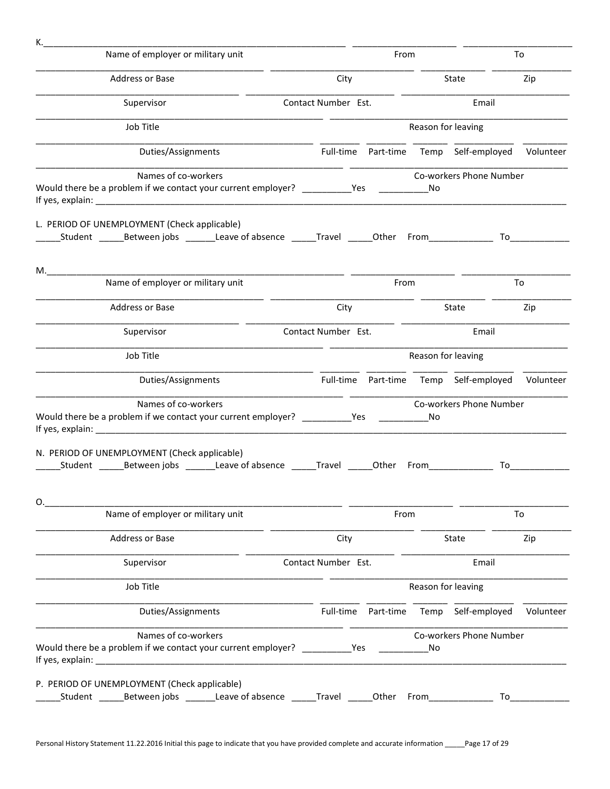| к.                                                                                                                                                       |                     |                                                  |                         |                                                                                                                                                                                                                                |
|----------------------------------------------------------------------------------------------------------------------------------------------------------|---------------------|--------------------------------------------------|-------------------------|--------------------------------------------------------------------------------------------------------------------------------------------------------------------------------------------------------------------------------|
| Name of employer or military unit                                                                                                                        |                     | From                                             |                         | To                                                                                                                                                                                                                             |
| Address or Base                                                                                                                                          | City                |                                                  | State                   | Zip                                                                                                                                                                                                                            |
| Supervisor                                                                                                                                               | Contact Number Est. |                                                  | Email                   |                                                                                                                                                                                                                                |
| Job Title                                                                                                                                                |                     | Reason for leaving                               |                         |                                                                                                                                                                                                                                |
| Duties/Assignments                                                                                                                                       |                     | Full-time Part-time Temp Self-employed Volunteer |                         |                                                                                                                                                                                                                                |
| Names of co-workers<br>Would there be a problem if we contact your current employer? ___________Yes ______________No                                     |                     |                                                  | Co-workers Phone Number |                                                                                                                                                                                                                                |
| L. PERIOD OF UNEMPLOYMENT (Check applicable)<br>Student Between jobs Leave of absence Travel Other From                                                  |                     |                                                  |                         |                                                                                                                                                                                                                                |
| $M_{\cdot}$                                                                                                                                              |                     |                                                  |                         |                                                                                                                                                                                                                                |
| Name of employer or military unit                                                                                                                        |                     | From                                             |                         | To                                                                                                                                                                                                                             |
| Address or Base                                                                                                                                          | City                |                                                  | State                   | Zip                                                                                                                                                                                                                            |
| Supervisor                                                                                                                                               | Contact Number Est. |                                                  | Email                   |                                                                                                                                                                                                                                |
| Job Title                                                                                                                                                |                     | Reason for leaving                               |                         |                                                                                                                                                                                                                                |
| Duties/Assignments                                                                                                                                       |                     | Full-time Part-time Temp Self-employed Volunteer |                         |                                                                                                                                                                                                                                |
| Names of co-workers<br>Would there be a problem if we contact your current employer? ___________Yes _______________No                                    |                     |                                                  | Co-workers Phone Number |                                                                                                                                                                                                                                |
| N. PERIOD OF UNEMPLOYMENT (Check applicable)<br>_____Student _______Between jobs _________Leave of absence _______Travel ______Other From_______________ |                     |                                                  | To                      |                                                                                                                                                                                                                                |
| O.<br>Name of employer or military unit                                                                                                                  |                     | From                                             |                         | To                                                                                                                                                                                                                             |
| Address or Base                                                                                                                                          | City                |                                                  | State                   | Zip                                                                                                                                                                                                                            |
| Supervisor                                                                                                                                               | Contact Number Est. |                                                  | Email                   |                                                                                                                                                                                                                                |
| Job Title                                                                                                                                                |                     | Reason for leaving                               |                         |                                                                                                                                                                                                                                |
| Duties/Assignments                                                                                                                                       | Full-time           | Part-time Temp Self-employed                     |                         | Volunteer                                                                                                                                                                                                                      |
| Names of co-workers<br>Would there be a problem if we contact your current employer? _________________Yes                                                |                     | No                                               | Co-workers Phone Number |                                                                                                                                                                                                                                |
| P. PERIOD OF UNEMPLOYMENT (Check applicable)                                                                                                             |                     |                                                  |                         | To the contract of the contract of the contract of the contract of the contract of the contract of the contract of the contract of the contract of the contract of the contract of the contract of the contract of the contrac |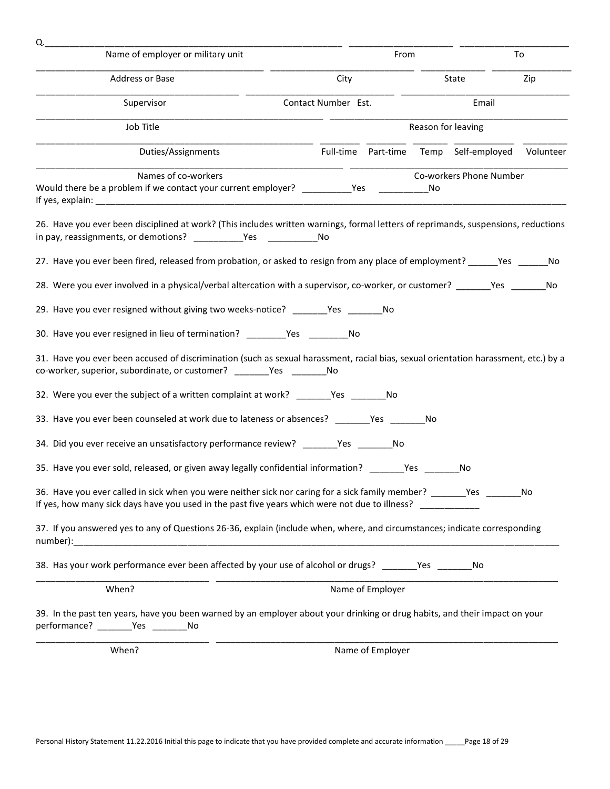| Q.                                                                                                                                                                                                                 |                                                  |                         |     |
|--------------------------------------------------------------------------------------------------------------------------------------------------------------------------------------------------------------------|--------------------------------------------------|-------------------------|-----|
| Name of employer or military unit                                                                                                                                                                                  | From                                             |                         | To  |
| Address or Base                                                                                                                                                                                                    | City                                             | State                   | Zip |
| Supervisor                                                                                                                                                                                                         | Contact Number Est.                              | Email                   |     |
| Job Title                                                                                                                                                                                                          |                                                  | Reason for leaving      |     |
| Duties/Assignments                                                                                                                                                                                                 | Full-time Part-time Temp Self-employed Volunteer |                         |     |
| Names of co-workers                                                                                                                                                                                                |                                                  | Co-workers Phone Number |     |
| Would there be a problem if we contact your current employer? __________Yes ______________No                                                                                                                       |                                                  |                         |     |
| 26. Have you ever been disciplined at work? (This includes written warnings, formal letters of reprimands, suspensions, reductions                                                                                 |                                                  |                         |     |
| 27. Have you ever been fired, released from probation, or asked to resign from any place of employment? ______Yes _______No                                                                                        |                                                  |                         |     |
| 28. Were you ever involved in a physical/verbal altercation with a supervisor, co-worker, or customer? _______Yes ______                                                                                           |                                                  |                         | No  |
| 29. Have you ever resigned without giving two weeks-notice? _______Yes _______No                                                                                                                                   |                                                  |                         |     |
| 30. Have you ever resigned in lieu of termination? ________Yes __________No                                                                                                                                        |                                                  |                         |     |
| 31. Have you ever been accused of discrimination (such as sexual harassment, racial bias, sexual orientation harassment, etc.) by a<br>co-worker, superior, subordinate, or customer? _______Yes _________No       |                                                  |                         |     |
| 32. Were you ever the subject of a written complaint at work? _________Yes _________No                                                                                                                             |                                                  |                         |     |
| 33. Have you ever been counseled at work due to lateness or absences? _______Yes _______No                                                                                                                         |                                                  |                         |     |
| 34. Did you ever receive an unsatisfactory performance review? _______Yes _______No                                                                                                                                |                                                  |                         |     |
| 35. Have you ever sold, released, or given away legally confidential information? _________Yes _____                                                                                                               |                                                  | No                      |     |
| 36. Have you ever called in sick when you were neither sick nor caring for a sick family member? _______Yes ____<br>If yes, how many sick days have you used in the past five years which were not due to illness? |                                                  |                         | No  |
| 37. If you answered yes to any of Questions 26-36, explain (include when, where, and circumstances; indicate corresponding                                                                                         |                                                  |                         |     |
| 38. Has your work performance ever been affected by your use of alcohol or drugs? _______Yes _______No                                                                                                             |                                                  |                         |     |
| When?                                                                                                                                                                                                              | Name of Employer                                 |                         |     |
| 39. In the past ten years, have you been warned by an employer about your drinking or drug habits, and their impact on your<br>performance? ________Yes ________No                                                 |                                                  |                         |     |
| When?                                                                                                                                                                                                              | Name of Employer                                 |                         |     |
|                                                                                                                                                                                                                    |                                                  |                         |     |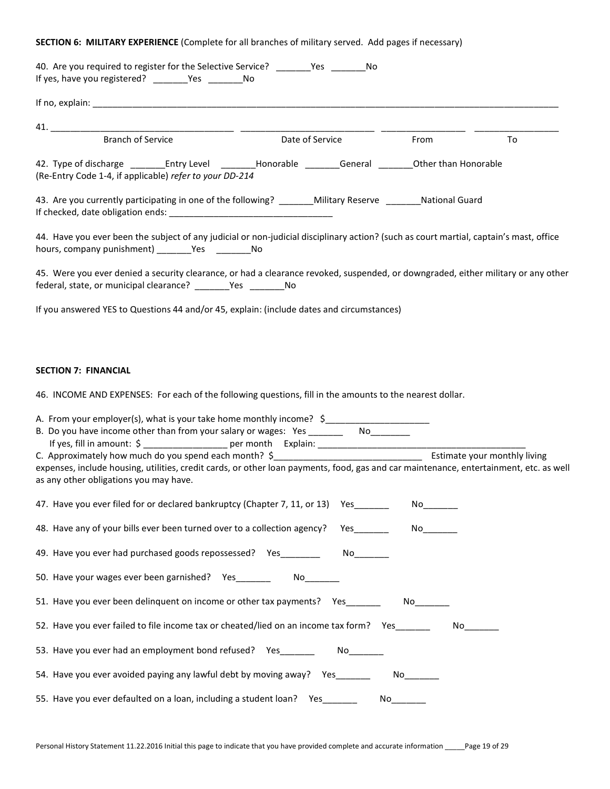# SECTION 6: MILITARY EXPERIENCE (Complete for all branches of military served. Add pages if necessary)

| 40. Are you required to register for the Selective Service? ________Yes ________No<br>If yes, have you registered? ________Yes __________No                                                                                                                                                                                                              |                                                                                                                 |      |    |
|----------------------------------------------------------------------------------------------------------------------------------------------------------------------------------------------------------------------------------------------------------------------------------------------------------------------------------------------------------|-----------------------------------------------------------------------------------------------------------------|------|----|
|                                                                                                                                                                                                                                                                                                                                                          |                                                                                                                 |      |    |
|                                                                                                                                                                                                                                                                                                                                                          |                                                                                                                 |      |    |
| <b>Branch of Service</b>                                                                                                                                                                                                                                                                                                                                 | Date of Service From                                                                                            |      | To |
| 42. Type of discharge ____________Entry Level ___________Honorable _________General __________Other than Honorable<br>(Re-Entry Code 1-4, if applicable) refer to your DD-214                                                                                                                                                                            |                                                                                                                 |      |    |
| 43. Are you currently participating in one of the following? _______Military Reserve _______National Guard                                                                                                                                                                                                                                               |                                                                                                                 |      |    |
| 44. Have you ever been the subject of any judicial or non-judicial disciplinary action? (such as court martial, captain's mast, office<br>hours, company punishment) __________Yes ______________No                                                                                                                                                      |                                                                                                                 |      |    |
| 45. Were you ever denied a security clearance, or had a clearance revoked, suspended, or downgraded, either military or any other<br>federal, state, or municipal clearance? ________Yes _________No                                                                                                                                                     |                                                                                                                 |      |    |
| If you answered YES to Questions 44 and/or 45, explain: (include dates and circumstances)                                                                                                                                                                                                                                                                |                                                                                                                 |      |    |
| <b>SECTION 7: FINANCIAL</b><br>46. INCOME AND EXPENSES: For each of the following questions, fill in the amounts to the nearest dollar.<br>A. From your employer(s), what is your take home monthly income? \$<br>expenses, include housing, utilities, credit cards, or other loan payments, food, gas and car maintenance, entertainment, etc. as well |                                                                                                                 |      |    |
| as any other obligations you may have.                                                                                                                                                                                                                                                                                                                   |                                                                                                                 |      |    |
| 47. Have you ever filed for or declared bankruptcy (Chapter 7, 11, or 13) Yes                                                                                                                                                                                                                                                                            |                                                                                                                 |      |    |
| 48. Have any of your bills ever been turned over to a collection agency?                                                                                                                                                                                                                                                                                 | <b>Yes</b>                                                                                                      |      |    |
| 49. Have you ever had purchased goods repossessed? Yes                                                                                                                                                                                                                                                                                                   |                                                                                                                 |      |    |
| 50. Have your wages ever been garnished? Yes                                                                                                                                                                                                                                                                                                             | No control of the set of the set of the set of the set of the set of the set of the set of the set of the set o |      |    |
| 51. Have you ever been delinguent on income or other tax payments? Yes                                                                                                                                                                                                                                                                                   |                                                                                                                 |      |    |
| 52. Have you ever failed to file income tax or cheated/lied on an income tax form? Yes                                                                                                                                                                                                                                                                   |                                                                                                                 |      |    |
| 53. Have you ever had an employment bond refused? Yes                                                                                                                                                                                                                                                                                                    |                                                                                                                 |      |    |
| 54. Have you ever avoided paying any lawful debt by moving away? Yes                                                                                                                                                                                                                                                                                     |                                                                                                                 |      |    |
| 55. Have you ever defaulted on a loan, including a student loan? Yes____                                                                                                                                                                                                                                                                                 |                                                                                                                 | No l |    |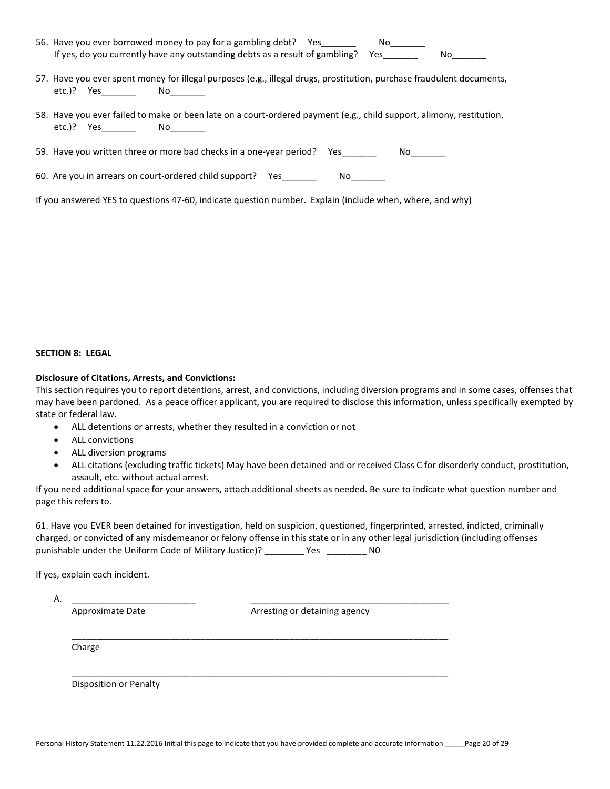| 56. Have you ever borrowed money to pay for a gambling debt? Yes                 | No |    |
|----------------------------------------------------------------------------------|----|----|
| If yes, do you currently have any outstanding debts as a result of gambling? Yes |    | No |

- 57. Have you ever spent money for illegal purposes (e.g., illegal drugs, prostitution, purchase fraudulent documents, etc.)? Yes \_\_\_\_\_\_\_\_ No\_\_\_\_\_\_
- 58. Have you ever failed to make or been late on a court-ordered payment (e.g., child support, alimony, restitution, etc.)? Yes No

59. Have you written three or more bad checks in a one-year period? Yes\_\_\_\_\_\_\_\_\_ No\_\_\_\_\_\_

| 60. Are you in arrears on court-ordered child support? Yes |  | Nο |
|------------------------------------------------------------|--|----|
|------------------------------------------------------------|--|----|

If you answered YES to questions 47-60, indicate question number. Explain (include when, where, and why)

#### SECTION 8: LEGAL

#### Disclosure of Citations, Arrests, and Convictions:

This section requires you to report detentions, arrest, and convictions, including diversion programs and in some cases, offenses that may have been pardoned. As a peace officer applicant, you are required to disclose this information, unless specifically exempted by state or federal law.

- ALL detentions or arrests, whether they resulted in a conviction or not
- ALL convictions
- ALL diversion programs
- ALL citations (excluding traffic tickets) May have been detained and or received Class C for disorderly conduct, prostitution, assault, etc. without actual arrest.

If you need additional space for your answers, attach additional sheets as needed. Be sure to indicate what question number and page this refers to.

61. Have you EVER been detained for investigation, held on suspicion, questioned, fingerprinted, arrested, indicted, criminally charged, or convicted of any misdemeanor or felony offense in this state or in any other legal jurisdiction (including offenses punishable under the Uniform Code of Military Justice)? \_\_\_\_\_\_\_\_ Yes \_\_\_\_\_\_\_\_\_ N0

If yes, explain each incident.

A. \_\_\_\_\_\_\_\_\_\_\_\_\_\_\_\_\_\_\_\_\_\_\_\_\_ \_\_\_\_\_\_\_\_\_\_\_\_\_\_\_\_\_\_\_\_\_\_\_\_\_\_\_\_\_\_\_\_\_\_\_\_\_\_\_\_

Approximate Date Arresting or detaining agency

Charge

Disposition or Penalty

\_\_\_\_\_\_\_\_\_\_\_\_\_\_\_\_\_\_\_\_\_\_\_\_\_\_\_\_\_\_\_\_\_\_\_\_\_\_\_\_\_\_\_\_\_\_\_\_\_\_\_\_\_\_\_\_\_\_\_\_\_\_\_\_\_\_\_\_\_\_\_\_\_\_\_\_

\_\_\_\_\_\_\_\_\_\_\_\_\_\_\_\_\_\_\_\_\_\_\_\_\_\_\_\_\_\_\_\_\_\_\_\_\_\_\_\_\_\_\_\_\_\_\_\_\_\_\_\_\_\_\_\_\_\_\_\_\_\_\_\_\_\_\_\_\_\_\_\_\_\_\_\_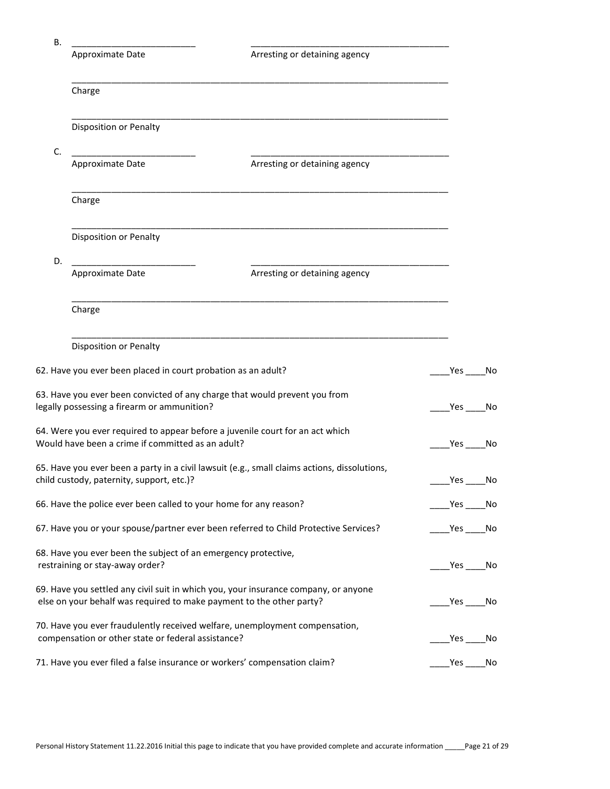| В. |                                                                                                   |                                                                                              |                          |    |
|----|---------------------------------------------------------------------------------------------------|----------------------------------------------------------------------------------------------|--------------------------|----|
|    | Approximate Date                                                                                  | Arresting or detaining agency                                                                |                          |    |
|    | Charge                                                                                            |                                                                                              |                          |    |
|    | Disposition or Penalty                                                                            |                                                                                              |                          |    |
| C. | Approximate Date                                                                                  | Arresting or detaining agency                                                                |                          |    |
|    | Charge                                                                                            |                                                                                              |                          |    |
|    | Disposition or Penalty                                                                            |                                                                                              |                          |    |
| D. | Approximate Date                                                                                  | Arresting or detaining agency                                                                |                          |    |
|    | Charge                                                                                            |                                                                                              |                          |    |
|    | Disposition or Penalty                                                                            |                                                                                              |                          |    |
|    | 62. Have you ever been placed in court probation as an adult?                                     |                                                                                              | Yes                      | No |
|    | legally possessing a firearm or ammunition?                                                       | 63. Have you ever been convicted of any charge that would prevent you from                   | Yes                      | No |
|    | Would have been a crime if committed as an adult?                                                 | 64. Were you ever required to appear before a juvenile court for an act which                | Yes<br>No                |    |
|    | child custody, paternity, support, etc.)?                                                         | 65. Have you ever been a party in a civil lawsuit (e.g., small claims actions, dissolutions, | Yes                      | No |
|    | 66. Have the police ever been called to your home for any reason?                                 |                                                                                              | Yes No                   |    |
|    |                                                                                                   | 67. Have you or your spouse/partner ever been referred to Child Protective Services?         | Yes No                   |    |
|    | 68. Have you ever been the subject of an emergency protective,<br>restraining or stay-away order? |                                                                                              | $_{\rm }$ Yes $_{\rm -}$ | No |
|    | else on your behalf was required to make payment to the other party?                              | 69. Have you settled any civil suit in which you, your insurance company, or anyone          | $Yes$ $-$                | No |
|    | compensation or other state or federal assistance?                                                | 70. Have you ever fraudulently received welfare, unemployment compensation,                  | Yes                      | No |
|    | 71. Have you ever filed a false insurance or workers' compensation claim?                         |                                                                                              | Yes                      | No |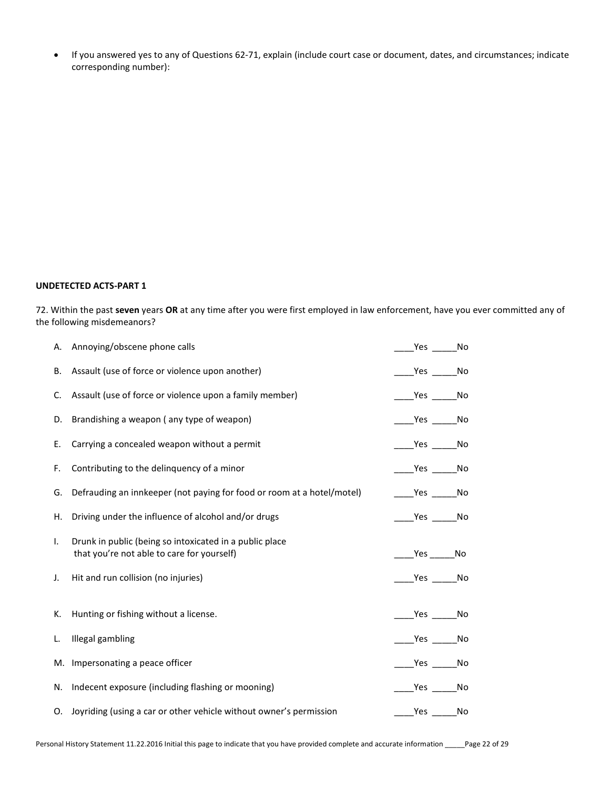If you answered yes to any of Questions 62-71, explain (include court case or document, dates, and circumstances; indicate corresponding number):

#### UNDETECTED ACTS-PART 1

72. Within the past seven years OR at any time after you were first employed in law enforcement, have you ever committed any of the following misdemeanors?

|    | A. Annoying/obscene phone calls                                                                       | Yes No                                                                             |
|----|-------------------------------------------------------------------------------------------------------|------------------------------------------------------------------------------------|
| В. | Assault (use of force or violence upon another)                                                       | $Yes$ No                                                                           |
| C. | Assault (use of force or violence upon a family member)                                               | $Yes$ No                                                                           |
|    | D. Brandishing a weapon (any type of weapon)                                                          | $\rule{1em}{0.15mm}$ $\frac{\text{Yes}}{\text{1em}}$ $\frac{\text{No}}{\text{No}}$ |
| Е. | Carrying a concealed weapon without a permit                                                          | $\rule{1em}{0.15mm}$ Yes $\rule{1em}{0.15mm}$ No                                   |
| F. | Contributing to the delinquency of a minor                                                            | _________________No                                                                |
| G. | Defrauding an innkeeper (not paying for food or room at a hotel/motel)                                | $\rule{1em}{0.15mm}$ $\frac{\text{Yes}}{\text{Yes}}$ No                            |
| Н. | Driving under the influence of alcohol and/or drugs                                                   | $Yes$ No                                                                           |
| Τ. | Drunk in public (being so intoxicated in a public place<br>that you're not able to care for yourself) | $Yes$ No                                                                           |
| J. | Hit and run collision (no injuries)                                                                   | $\rule{1em}{0.15mm}$ Yes $\rule{1em}{0.15mm}$ No                                   |
| К. | Hunting or fishing without a license.                                                                 | $\rule{1em}{0.15mm}$ Yes $\rule{1em}{0.15mm}$ No                                   |
| L. | Illegal gambling                                                                                      | $\rule{1em}{0.15mm}$ Yes $\rule{1em}{0.15mm}$ No                                   |
|    | M. Impersonating a peace officer                                                                      | $\rule{1em}{0.15mm}$ Yes _______ No                                                |
|    | N. Indecent exposure (including flashing or mooning)                                                  | __Yes _______No                                                                    |
|    | O. Joyriding (using a car or other vehicle without owner's permission                                 | Yes No                                                                             |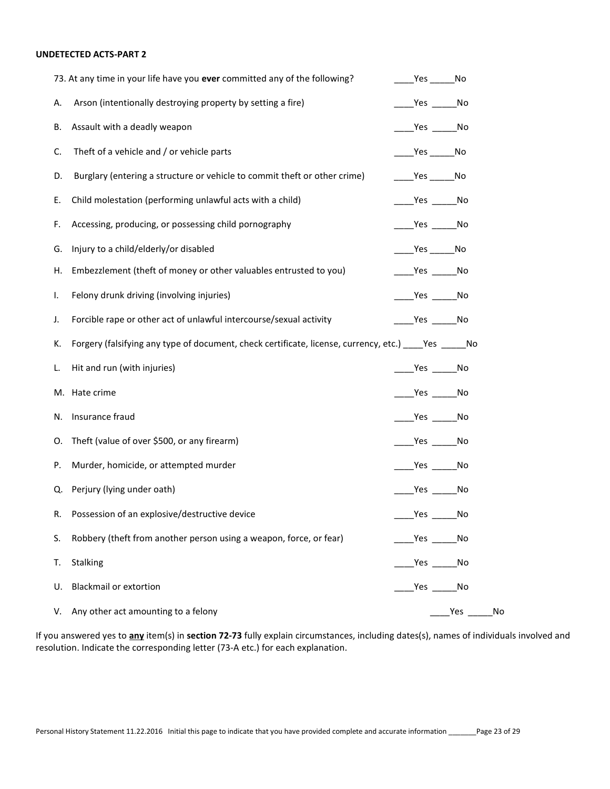# UNDETECTED ACTS-PART 2

|    | 73. At any time in your life have you ever committed any of the following?                                  | $Yes$ No                                                                                                                                                                                                                                                                                                                                   |      |    |
|----|-------------------------------------------------------------------------------------------------------------|--------------------------------------------------------------------------------------------------------------------------------------------------------------------------------------------------------------------------------------------------------------------------------------------------------------------------------------------|------|----|
| А. | Arson (intentionally destroying property by setting a fire)                                                 | $\rule{1em}{0.15mm}$ $\qquad$ $\qquad$ $\qquad$ $\qquad$ $\qquad$ $\qquad$ $\qquad$ $\qquad$ $\qquad$ $\qquad$ $\qquad$ $\qquad$ $\qquad$ $\qquad$ $\qquad$ $\qquad$ $\qquad$ $\qquad$ $\qquad$ $\qquad$ $\qquad$ $\qquad$ $\qquad$ $\qquad$ $\qquad$ $\qquad$ $\qquad$ $\qquad$ $\qquad$ $\qquad$ $\qquad$ $\qquad$ $\qquad$ $\qquad$ $\$ |      |    |
| В. | Assault with a deadly weapon                                                                                | $\rule{1em}{0.15mm}$ $\frac{\text{Yes}}{\text{Yes}}$ No                                                                                                                                                                                                                                                                                    |      |    |
| C. | Theft of a vehicle and / or vehicle parts                                                                   | $\rule{1em}{0.15mm}$ Yes ________ No                                                                                                                                                                                                                                                                                                       |      |    |
| D. | Burglary (entering a structure or vehicle to commit theft or other crime)                                   | $Yes$ No                                                                                                                                                                                                                                                                                                                                   |      |    |
| Е. | Child molestation (performing unlawful acts with a child)                                                   | $\rule{1em}{0.15mm}$ Yes $\rule{1em}{0.15mm}$ No                                                                                                                                                                                                                                                                                           |      |    |
| F. | Accessing, producing, or possessing child pornography                                                       | $\rule{1em}{0.15mm}$ Yes $\rule{1em}{0.15mm}$ No                                                                                                                                                                                                                                                                                           |      |    |
| G. | Injury to a child/elderly/or disabled                                                                       | $Yes$ No                                                                                                                                                                                                                                                                                                                                   |      |    |
| Η. | Embezzlement (theft of money or other valuables entrusted to you)                                           | $\rule{1em}{0.15mm}$ Yes $\rule{1em}{0.15mm}$ No                                                                                                                                                                                                                                                                                           |      |    |
| ı. | Felony drunk driving (involving injuries)                                                                   | $\rule{1em}{0.15mm}$ Yes $\rule{1em}{0.15mm}$ No                                                                                                                                                                                                                                                                                           |      |    |
| J. | Forcible rape or other act of unlawful intercourse/sexual activity                                          | $\rule{1em}{0.15mm}$ Yes $\rule{1em}{0.15mm}$ No                                                                                                                                                                                                                                                                                           |      |    |
| к. | Forgery (falsifying any type of document, check certificate, license, currency, etc.) ______ Yes _______ No |                                                                                                                                                                                                                                                                                                                                            |      |    |
| L. | Hit and run (with injuries)                                                                                 | __________________No                                                                                                                                                                                                                                                                                                                       |      |    |
|    | M. Hate crime                                                                                               | $\rule{1em}{0.15mm}$ $\frac{\text{Yes}}{\text{1em}}$ $\frac{\text{No}}{\text{No}}$                                                                                                                                                                                                                                                         |      |    |
| N. | Insurance fraud                                                                                             | $\rule{1em}{0.15mm}$ $\frac{\text{Yes}}{\text{Yes}}$ No                                                                                                                                                                                                                                                                                    |      |    |
| О. | Theft (value of over \$500, or any firearm)                                                                 | $\rule{1em}{0.15mm}$ $\frac{\text{Yes}}{\text{Yes}}$ No                                                                                                                                                                                                                                                                                    |      |    |
| Р. | Murder, homicide, or attempted murder                                                                       | $\rule{1em}{0.15mm}$ $\frac{\text{Yes}}{\text{Yes}}$ No                                                                                                                                                                                                                                                                                    |      |    |
| Q. | Perjury (lying under oath)                                                                                  | Yes No                                                                                                                                                                                                                                                                                                                                     |      |    |
| R. | Possession of an explosive/destructive device                                                               |                                                                                                                                                                                                                                                                                                                                            | No   |    |
| S. | Robbery (theft from another person using a weapon, force, or fear)                                          | $Yes$ No                                                                                                                                                                                                                                                                                                                                   |      |    |
| T. | Stalking                                                                                                    | _Yes _______No                                                                                                                                                                                                                                                                                                                             |      |    |
| U. | <b>Blackmail or extortion</b>                                                                               | ____Yes _______No                                                                                                                                                                                                                                                                                                                          |      |    |
| V. | Any other act amounting to a felony                                                                         |                                                                                                                                                                                                                                                                                                                                            | _Yes | No |

If you answered yes to *any* item(s) in section 72-73 fully explain circumstances, including dates(s), names of individuals involved and resolution. Indicate the corresponding letter (73-A etc.) for each explanation.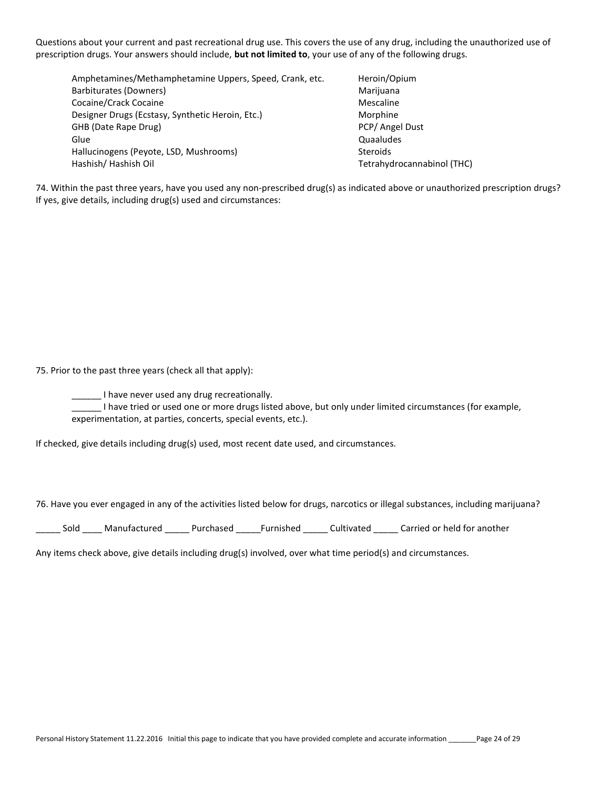Questions about your current and past recreational drug use. This covers the use of any drug, including the unauthorized use of prescription drugs. Your answers should include, but not limited to, your use of any of the following drugs.

Amphetamines/Methamphetamine Uppers, Speed, Crank, etc. Heroin/Opium Barbiturates (Downers) and the control of the control of the Marijuana Marijuana Cocaine/Crack Cocaine Mescaline Mescaline Mescaline Designer Drugs (Ecstasy, Synthetic Heroin, Etc.) Morphine GHB (Date Rape Drug) **PCP** (Angel Dust) Glue Quaaludes Hallucinogens (Peyote, LSD, Mushrooms) Steroids Hashish/ Hashish Oil Tetrahydrocannabinol (THC)

74. Within the past three years, have you used any non-prescribed drug(s) as indicated above or unauthorized prescription drugs? If yes, give details, including drug(s) used and circumstances:

75. Prior to the past three years (check all that apply):

**\_\_\_\_** I have never used any drug recreationally.

\_\_\_\_\_\_ I have tried or used one or more drugs listed above, but only under limited circumstances (for example, experimentation, at parties, concerts, special events, etc.).

If checked, give details including drug(s) used, most recent date used, and circumstances.

76. Have you ever engaged in any of the activities listed below for drugs, narcotics or illegal substances, including marijuana?

\_\_\_\_\_ Sold \_\_\_\_ Manufactured \_\_\_\_\_ Purchased \_\_\_\_\_Furnished \_\_\_\_\_ Cultivated \_\_\_\_\_ Carried or held for another

Any items check above, give details including drug(s) involved, over what time period(s) and circumstances.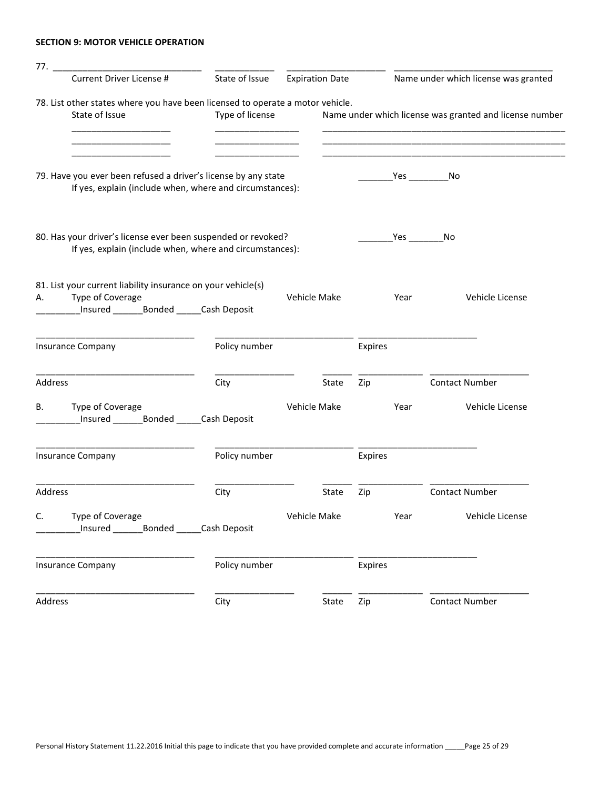# SECTION 9: MOTOR VEHICLE OPERATION

| Current Driver License #                                                                                                              | State of Issue  | <b>Expiration Date</b> |         | Name under which license was granted                    |
|---------------------------------------------------------------------------------------------------------------------------------------|-----------------|------------------------|---------|---------------------------------------------------------|
| 78. List other states where you have been licensed to operate a motor vehicle.<br>State of Issue                                      | Type of license |                        |         | Name under which license was granted and license number |
| 79. Have you ever been refused a driver's license by any state<br>If yes, explain (include when, where and circumstances):            |                 |                        |         | $Yes$ No                                                |
| 80. Has your driver's license ever been suspended or revoked?<br>If yes, explain (include when, where and circumstances):             |                 |                        |         | _Yes _________No                                        |
| 81. List your current liability insurance on your vehicle(s)<br>Type of Coverage<br>А.<br>_Insured _________Bonded ______Cash Deposit |                 | Vehicle Make           | Year    | Vehicle License                                         |
| <b>Insurance Company</b>                                                                                                              | Policy number   |                        | Expires |                                                         |
| Address                                                                                                                               | City            | State                  | Zip     | <b>Contact Number</b>                                   |
| Type of Coverage<br>В.<br>Insured _______Bonded _____Cash Deposit                                                                     |                 | Vehicle Make           | Year    | Vehicle License                                         |
| <b>Insurance Company</b>                                                                                                              | Policy number   |                        | Expires |                                                         |
| Address                                                                                                                               | City            | State                  | Zip     | <b>Contact Number</b>                                   |
| C.<br>Type of Coverage<br>Insured _________ Bonded ______ Cash Deposit                                                                |                 | Vehicle Make           | Year    | Vehicle License                                         |
| <b>Insurance Company</b>                                                                                                              | Policy number   |                        | Expires |                                                         |
| Address                                                                                                                               | City            | State                  | Zip     | <b>Contact Number</b>                                   |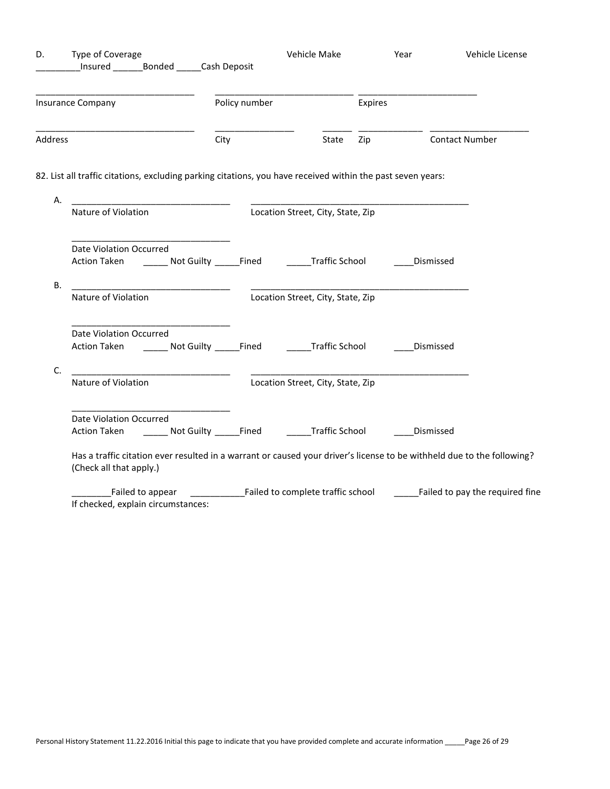| D.      | Type of Coverage<br>Insured Bonded Cash Deposit                                                                      |               | Vehicle Make                                               | Year    | Vehicle License                                                                                                        |
|---------|----------------------------------------------------------------------------------------------------------------------|---------------|------------------------------------------------------------|---------|------------------------------------------------------------------------------------------------------------------------|
|         | Insurance Company                                                                                                    | Policy number |                                                            | Expires |                                                                                                                        |
| Address |                                                                                                                      | City          | State                                                      | Zip     | <b>Contact Number</b>                                                                                                  |
|         | 82. List all traffic citations, excluding parking citations, you have received within the past seven years:          |               |                                                            |         |                                                                                                                        |
| А.      | <u> 1980 - Jan Stein Bernstein, mars and der Stein Bernstein und der Stein Bernstein und der Stein Bernstein und</u> |               |                                                            |         |                                                                                                                        |
|         | Nature of Violation                                                                                                  |               | Location Street, City, State, Zip                          |         |                                                                                                                        |
| В.      | Date Violation Occurred<br>Action Taken ______ Not Guilty ______Fined<br>Nature of Violation                         |               | <b>Traffic School</b><br>Location Street, City, State, Zip |         | Dismissed                                                                                                              |
|         | Date Violation Occurred<br>Action Taken ________ Not Guilty ______Fined                                              |               | <b>Example 3</b> Traffic School                            |         | ____Dismissed                                                                                                          |
| C.      | Nature of Violation                                                                                                  |               | Location Street, City, State, Zip                          |         |                                                                                                                        |
|         | Date Violation Occurred<br>Action Taken ________ Not Guilty ______Fined ________Traffic School _______               |               |                                                            |         | Dismissed                                                                                                              |
|         | (Check all that apply.)                                                                                              |               |                                                            |         | Has a traffic citation ever resulted in a warrant or caused your driver's license to be withheld due to the following? |
|         | If checked, explain circumstances:                                                                                   |               |                                                            |         |                                                                                                                        |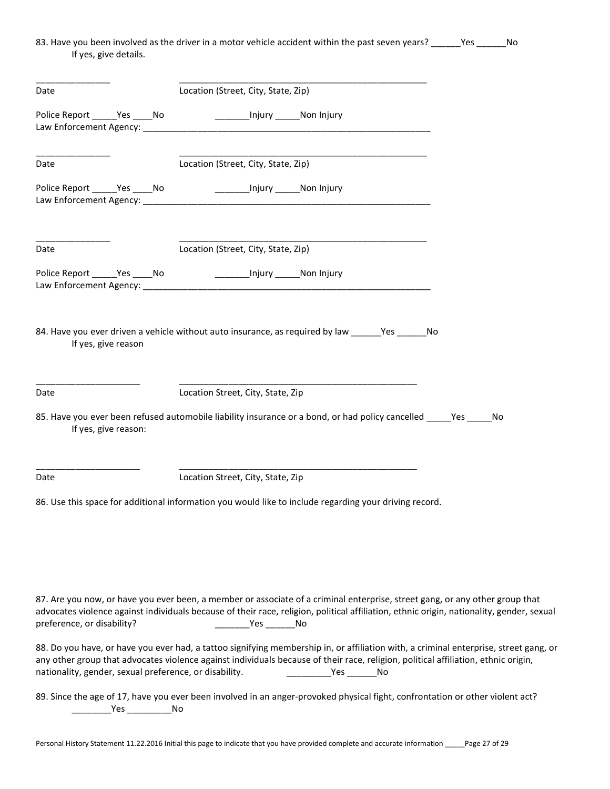# 83. Have you been involved as the driver in a motor vehicle accident within the past seven years? \_\_\_\_\_\_Yes \_\_\_\_\_\_No If yes, give details.

| Date                                                   |  | Location (Street, City, State, Zip)                                                                                                                                                                                                                                                                      |  |
|--------------------------------------------------------|--|----------------------------------------------------------------------------------------------------------------------------------------------------------------------------------------------------------------------------------------------------------------------------------------------------------|--|
| Police Report ______Yes _____No                        |  | _____________Injury ________Non Injury                                                                                                                                                                                                                                                                   |  |
|                                                        |  |                                                                                                                                                                                                                                                                                                          |  |
|                                                        |  |                                                                                                                                                                                                                                                                                                          |  |
| Date                                                   |  | Location (Street, City, State, Zip)                                                                                                                                                                                                                                                                      |  |
| Police Report _______ Yes _____ No                     |  | ____________Injury _______Non Injury                                                                                                                                                                                                                                                                     |  |
| Date                                                   |  | Location (Street, City, State, Zip)                                                                                                                                                                                                                                                                      |  |
| Police Report Yes No                                   |  | _______________Injury _________Non Injury                                                                                                                                                                                                                                                                |  |
| If yes, give reason                                    |  | 84. Have you ever driven a vehicle without auto insurance, as required by law ________ Yes _______ No                                                                                                                                                                                                    |  |
| Date                                                   |  | Location Street, City, State, Zip                                                                                                                                                                                                                                                                        |  |
| If yes, give reason:                                   |  | 85. Have you ever been refused automobile liability insurance or a bond, or had policy cancelled _____ Yes _____ No                                                                                                                                                                                      |  |
| Date                                                   |  | Location Street, City, State, Zip                                                                                                                                                                                                                                                                        |  |
|                                                        |  | 86. Use this space for additional information you would like to include regarding your driving record.                                                                                                                                                                                                   |  |
|                                                        |  |                                                                                                                                                                                                                                                                                                          |  |
| preference, or disability?                             |  | 87. Are you now, or have you ever been, a member or associate of a criminal enterprise, street gang, or any other group that<br>advocates violence against individuals because of their race, religion, political affiliation, ethnic origin, nationality, gender, sexual<br>___________Yes __________No |  |
| nationality, gender, sexual preference, or disability. |  | 88. Do you have, or have you ever had, a tattoo signifying membership in, or affiliation with, a criminal enterprise, street gang, or<br>any other group that advocates violence against individuals because of their race, religion, political affiliation, ethnic origin,                              |  |
|                                                        |  | 89. Since the age of 17, have you ever been involved in an anger-provoked physical fight, confrontation or other violent act?                                                                                                                                                                            |  |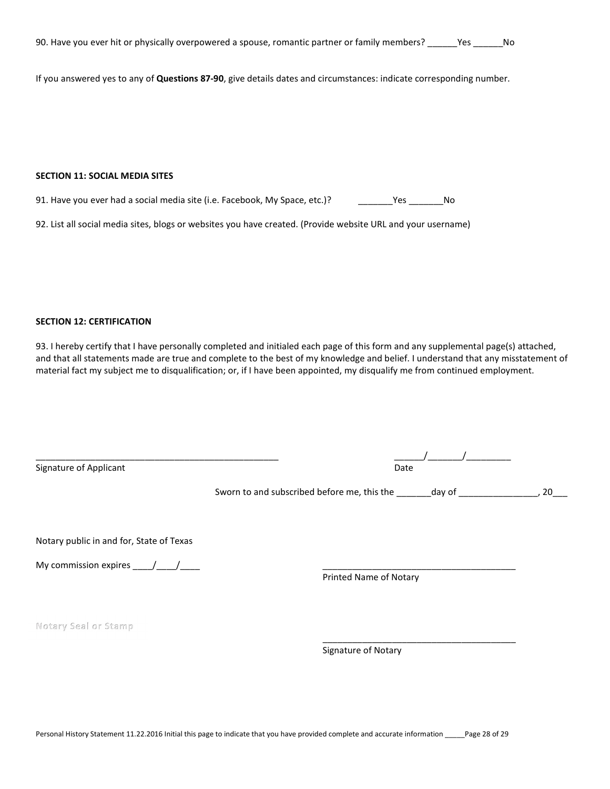| 90. Have you ever hit or physically overpowered a spouse, romantic partner or family members? | Yes<br>No. |
|-----------------------------------------------------------------------------------------------|------------|
|-----------------------------------------------------------------------------------------------|------------|

If you answered yes to any of Questions 87-90, give details dates and circumstances: indicate corresponding number.

## SECTION 11: SOCIAL MEDIA SITES

91. Have you ever had a social media site (i.e. Facebook, My Space, etc.)? \_\_\_\_\_\_\_Yes \_\_\_\_\_\_\_\_\_No

92. List all social media sites, blogs or websites you have created. (Provide website URL and your username)

## SECTION 12: CERTIFICATION

93. I hereby certify that I have personally completed and initialed each page of this form and any supplemental page(s) attached, and that all statements made are true and complete to the best of my knowledge and belief. I understand that any misstatement of material fact my subject me to disqualification; or, if I have been appointed, my disqualify me from continued employment.

| Signature of Applicant                   | Date                                                       |     |  |  |
|------------------------------------------|------------------------------------------------------------|-----|--|--|
|                                          | Sworn to and subscribed before me, this the _______ day of | -20 |  |  |
| Notary public in and for, State of Texas |                                                            |     |  |  |
| My commission expires $\frac{\ }{\ }$    | <b>Printed Name of Notary</b>                              |     |  |  |
| Notary Seal or Stamp                     |                                                            |     |  |  |
|                                          | Signature of Notary                                        |     |  |  |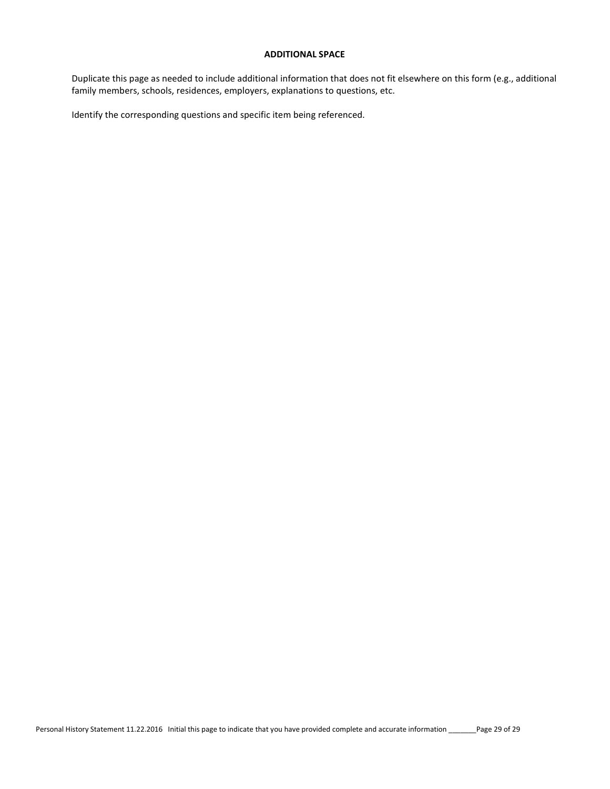#### ADDITIONAL SPACE

Duplicate this page as needed to include additional information that does not fit elsewhere on this form (e.g., additional family members, schools, residences, employers, explanations to questions, etc.

Identify the corresponding questions and specific item being referenced.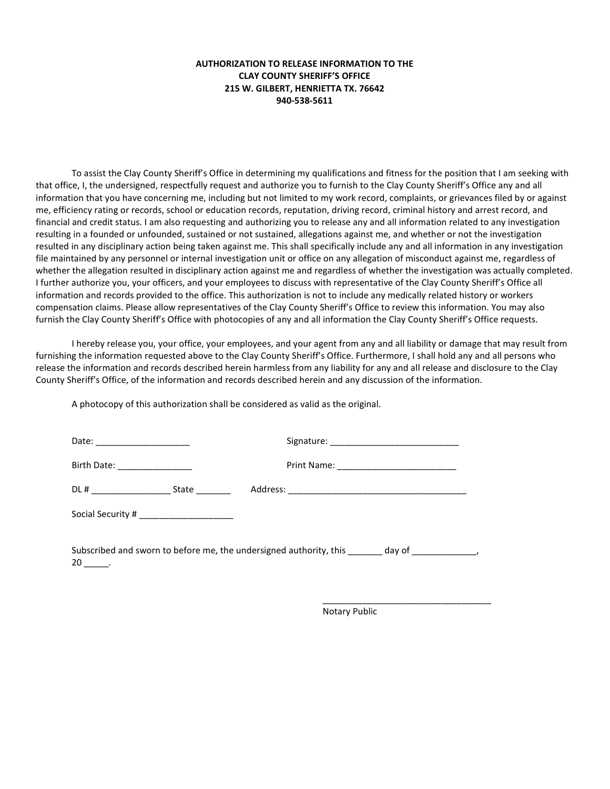# AUTHORIZATION TO RELEASE INFORMATION TO THE CLAY COUNTY SHERIFF'S OFFICE 215 W. GILBERT, HENRIETTA TX. 76642 940-538-5611

To assist the Clay County Sheriff's Office in determining my qualifications and fitness for the position that I am seeking with that office, I, the undersigned, respectfully request and authorize you to furnish to the Clay County Sheriff's Office any and all information that you have concerning me, including but not limited to my work record, complaints, or grievances filed by or against me, efficiency rating or records, school or education records, reputation, driving record, criminal history and arrest record, and financial and credit status. I am also requesting and authorizing you to release any and all information related to any investigation resulting in a founded or unfounded, sustained or not sustained, allegations against me, and whether or not the investigation resulted in any disciplinary action being taken against me. This shall specifically include any and all information in any investigation file maintained by any personnel or internal investigation unit or office on any allegation of misconduct against me, regardless of whether the allegation resulted in disciplinary action against me and regardless of whether the investigation was actually completed. I further authorize you, your officers, and your employees to discuss with representative of the Clay County Sheriff's Office all information and records provided to the office. This authorization is not to include any medically related history or workers compensation claims. Please allow representatives of the Clay County Sheriff's Office to review this information. You may also furnish the Clay County Sheriff's Office with photocopies of any and all information the Clay County Sheriff's Office requests.

I hereby release you, your office, your employees, and your agent from any and all liability or damage that may result from furnishing the information requested above to the Clay County Sheriff's Office. Furthermore, I shall hold any and all persons who release the information and records described herein harmless from any liability for any and all release and disclosure to the Clay County Sheriff's Office, of the information and records described herein and any discussion of the information.

A photocopy of this authorization shall be considered as valid as the original.

| Birth Date: ________________             |                                                                                                    |  |
|------------------------------------------|----------------------------------------------------------------------------------------------------|--|
|                                          |                                                                                                    |  |
| Social Security # ______________________ |                                                                                                    |  |
| $20 \quad .$                             | Subscribed and sworn to before me, the undersigned authority, this _______ day of ________________ |  |

 $\overline{\phantom{a}}$  , and the contract of the contract of the contract of the contract of the contract of the contract of the contract of the contract of the contract of the contract of the contract of the contract of the contrac

Notary Public